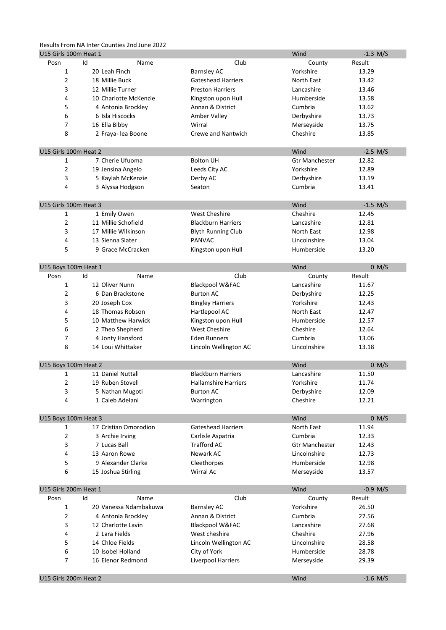# Results From NA Inter Counties 2nd June 2022

| Club<br>Posn<br>Id<br>Result<br>Name<br>County<br>1<br>20 Leah Finch<br>Yorkshire<br>13.29<br><b>Barnsley AC</b><br>2<br>18 Millie Buck<br>North East<br><b>Gateshead Harriers</b><br>13.42<br>3<br>12 Millie Turner<br><b>Preston Harriers</b><br>Lancashire<br>13.46<br>Humberside<br>4<br>10 Charlotte McKenzie<br>13.58<br>Kingston upon Hull<br>5<br>Cumbria<br>4 Antonia Brockley<br>Annan & District<br>13.62<br>6<br>6 Isla Hiscocks<br>Derbyshire<br>Amber Valley<br>13.73<br>7<br>Wirral<br>16 Ella Bibby<br>Merseyside<br>13.75<br>8<br>Crewe and Nantwich<br>Cheshire<br>2 Fraya-lea Boone<br>13.85<br>U15 Girls 100m Heat 2<br>Wind<br>$-2.5$ M/S<br>7 Cherie Ufuoma<br><b>Bolton UH</b><br>12.82<br>1<br><b>Gtr Manchester</b><br>$\overline{2}$<br>Yorkshire<br>12.89<br>19 Jensina Angelo<br>Leeds City AC<br>3<br>5 Kaylah McKenzie<br>Derbyshire<br>13.19<br>Derby AC<br>4<br>3 Alyssa Hodgson<br>Cumbria<br>13.41<br>Seaton<br>U15 Girls 100m Heat 3<br>Wind<br>$-1.5 M/S$<br>$\mathbf{1}$<br>1 Emily Owen<br><b>West Cheshire</b><br>Cheshire<br>12.45<br>$\overline{2}$<br>11 Millie Schofield<br><b>Blackburn Harriers</b><br>Lancashire<br>12.81<br>3<br>17 Millie Wilkinson<br>North East<br>12.98<br><b>Blyth Running Club</b><br>4<br>13 Sienna Slater<br><b>PANVAC</b><br>Lincolnshire<br>13.04<br>5<br>9 Grace McCracken<br>Humberside<br>Kingston upon Hull<br>13.20<br>U15 Boys 100m Heat 1<br>Wind<br>0 M/S<br>Id<br>Club<br>Result<br>Posn<br>Name<br>County<br>1<br>12 Oliver Nunn<br>Lancashire<br>Blackpool W&FAC<br>11.67<br>2<br>6 Dan Brackstone<br><b>Burton AC</b><br>Derbyshire<br>12.25<br>3<br>Yorkshire<br>20 Joseph Cox<br><b>Bingley Harriers</b><br>12.43<br>4<br>18 Thomas Robson<br>North East<br>12.47<br>Hartlepool AC<br>5<br>10 Matthew Harwick<br>Humberside<br>12.57<br>Kingston upon Hull<br>6<br><b>West Cheshire</b><br>Cheshire<br>2 Theo Shepherd<br>12.64<br>7<br>4 Jonty Hansford<br><b>Eden Runners</b><br>Cumbria<br>13.06<br>8<br>14 Loui Whittaker<br>Lincolnshire<br>Lincoln Wellington AC<br>13.18<br>U15 Boys 100m Heat 2<br>Wind<br>0 M/S<br>11 Daniel Nuttall<br><b>Blackburn Harriers</b><br>Lancashire<br>11.50<br>1<br>2<br>Yorkshire<br>11.74<br>19 Ruben Stovell<br><b>Hallamshire Harriers</b><br>3<br>5 Nathan Mugoti<br><b>Burton AC</b><br>Derbyshire<br>12.09<br>Cheshire<br>4<br>1 Caleb Adelani<br>12.21<br>Warrington<br>U15 Boys 100m Heat 3<br>Wind<br>0 M/S<br>17 Cristian Omorodion<br>North East<br><b>Gateshead Harriers</b><br>11.94<br>1<br>$\overline{2}$<br>Cumbria<br>3 Archie Irving<br>Carlisle Aspatria<br>12.33<br>3<br>7 Lucas Ball<br><b>Trafford AC</b><br><b>Gtr Manchester</b><br>12.43<br>4<br>Newark AC<br>Lincolnshire<br>13 Aaron Rowe<br>12.73<br>5<br>9 Alexander Clarke<br>Humberside<br>Cleethorpes<br>12.98<br>6<br>Wirral Ac<br>15 Joshua Stirling<br>Merseyside<br>13.57<br>U15 Girls 200m Heat 1<br>Wind<br>$-0.9$ M/S<br>Club<br>Id<br>Name<br>Result<br>Posn<br>County<br>1<br>20 Vanessa Ndambakuwa<br>Yorkshire<br>26.50<br><b>Barnsley AC</b><br>2<br>Cumbria<br>4 Antonia Brockley<br>Annan & District<br>27.56<br>3<br>12 Charlotte Lavin<br>Lancashire<br>Blackpool W&FAC<br>27.68<br>4<br>2 Lara Fields<br>Cheshire<br>West cheshire<br>27.96<br>5<br>14 Chloe Fields<br>Lincolnshire<br>28.58<br>Lincoln Wellington AC<br>6<br>10 Isobel Holland<br>City of York<br>Humberside<br>28.78 | U15 Girls 100m Heat 1 |  | Wind | $-1.3$ M/S |  |
|-----------------------------------------------------------------------------------------------------------------------------------------------------------------------------------------------------------------------------------------------------------------------------------------------------------------------------------------------------------------------------------------------------------------------------------------------------------------------------------------------------------------------------------------------------------------------------------------------------------------------------------------------------------------------------------------------------------------------------------------------------------------------------------------------------------------------------------------------------------------------------------------------------------------------------------------------------------------------------------------------------------------------------------------------------------------------------------------------------------------------------------------------------------------------------------------------------------------------------------------------------------------------------------------------------------------------------------------------------------------------------------------------------------------------------------------------------------------------------------------------------------------------------------------------------------------------------------------------------------------------------------------------------------------------------------------------------------------------------------------------------------------------------------------------------------------------------------------------------------------------------------------------------------------------------------------------------------------------------------------------------------------------------------------------------------------------------------------------------------------------------------------------------------------------------------------------------------------------------------------------------------------------------------------------------------------------------------------------------------------------------------------------------------------------------------------------------------------------------------------------------------------------------------------------------------------------------------------------------------------------------------------------------------------------------------------------------------------------------------------------------------------------------------------------------------------------------------------------------------------------------------------------------------------------------------------------------------------------------------------------------------------------------------------------------------------------------------------------------------------------------------------------------------------------------------------------------------------------------------------------------------------------------------------------------------------------------------------------------------------------------------------------------------------------|-----------------------|--|------|------------|--|
|                                                                                                                                                                                                                                                                                                                                                                                                                                                                                                                                                                                                                                                                                                                                                                                                                                                                                                                                                                                                                                                                                                                                                                                                                                                                                                                                                                                                                                                                                                                                                                                                                                                                                                                                                                                                                                                                                                                                                                                                                                                                                                                                                                                                                                                                                                                                                                                                                                                                                                                                                                                                                                                                                                                                                                                                                                                                                                                                                                                                                                                                                                                                                                                                                                                                                                                                                                                                                       |                       |  |      |            |  |
|                                                                                                                                                                                                                                                                                                                                                                                                                                                                                                                                                                                                                                                                                                                                                                                                                                                                                                                                                                                                                                                                                                                                                                                                                                                                                                                                                                                                                                                                                                                                                                                                                                                                                                                                                                                                                                                                                                                                                                                                                                                                                                                                                                                                                                                                                                                                                                                                                                                                                                                                                                                                                                                                                                                                                                                                                                                                                                                                                                                                                                                                                                                                                                                                                                                                                                                                                                                                                       |                       |  |      |            |  |
|                                                                                                                                                                                                                                                                                                                                                                                                                                                                                                                                                                                                                                                                                                                                                                                                                                                                                                                                                                                                                                                                                                                                                                                                                                                                                                                                                                                                                                                                                                                                                                                                                                                                                                                                                                                                                                                                                                                                                                                                                                                                                                                                                                                                                                                                                                                                                                                                                                                                                                                                                                                                                                                                                                                                                                                                                                                                                                                                                                                                                                                                                                                                                                                                                                                                                                                                                                                                                       |                       |  |      |            |  |
|                                                                                                                                                                                                                                                                                                                                                                                                                                                                                                                                                                                                                                                                                                                                                                                                                                                                                                                                                                                                                                                                                                                                                                                                                                                                                                                                                                                                                                                                                                                                                                                                                                                                                                                                                                                                                                                                                                                                                                                                                                                                                                                                                                                                                                                                                                                                                                                                                                                                                                                                                                                                                                                                                                                                                                                                                                                                                                                                                                                                                                                                                                                                                                                                                                                                                                                                                                                                                       |                       |  |      |            |  |
|                                                                                                                                                                                                                                                                                                                                                                                                                                                                                                                                                                                                                                                                                                                                                                                                                                                                                                                                                                                                                                                                                                                                                                                                                                                                                                                                                                                                                                                                                                                                                                                                                                                                                                                                                                                                                                                                                                                                                                                                                                                                                                                                                                                                                                                                                                                                                                                                                                                                                                                                                                                                                                                                                                                                                                                                                                                                                                                                                                                                                                                                                                                                                                                                                                                                                                                                                                                                                       |                       |  |      |            |  |
|                                                                                                                                                                                                                                                                                                                                                                                                                                                                                                                                                                                                                                                                                                                                                                                                                                                                                                                                                                                                                                                                                                                                                                                                                                                                                                                                                                                                                                                                                                                                                                                                                                                                                                                                                                                                                                                                                                                                                                                                                                                                                                                                                                                                                                                                                                                                                                                                                                                                                                                                                                                                                                                                                                                                                                                                                                                                                                                                                                                                                                                                                                                                                                                                                                                                                                                                                                                                                       |                       |  |      |            |  |
|                                                                                                                                                                                                                                                                                                                                                                                                                                                                                                                                                                                                                                                                                                                                                                                                                                                                                                                                                                                                                                                                                                                                                                                                                                                                                                                                                                                                                                                                                                                                                                                                                                                                                                                                                                                                                                                                                                                                                                                                                                                                                                                                                                                                                                                                                                                                                                                                                                                                                                                                                                                                                                                                                                                                                                                                                                                                                                                                                                                                                                                                                                                                                                                                                                                                                                                                                                                                                       |                       |  |      |            |  |
|                                                                                                                                                                                                                                                                                                                                                                                                                                                                                                                                                                                                                                                                                                                                                                                                                                                                                                                                                                                                                                                                                                                                                                                                                                                                                                                                                                                                                                                                                                                                                                                                                                                                                                                                                                                                                                                                                                                                                                                                                                                                                                                                                                                                                                                                                                                                                                                                                                                                                                                                                                                                                                                                                                                                                                                                                                                                                                                                                                                                                                                                                                                                                                                                                                                                                                                                                                                                                       |                       |  |      |            |  |
|                                                                                                                                                                                                                                                                                                                                                                                                                                                                                                                                                                                                                                                                                                                                                                                                                                                                                                                                                                                                                                                                                                                                                                                                                                                                                                                                                                                                                                                                                                                                                                                                                                                                                                                                                                                                                                                                                                                                                                                                                                                                                                                                                                                                                                                                                                                                                                                                                                                                                                                                                                                                                                                                                                                                                                                                                                                                                                                                                                                                                                                                                                                                                                                                                                                                                                                                                                                                                       |                       |  |      |            |  |
|                                                                                                                                                                                                                                                                                                                                                                                                                                                                                                                                                                                                                                                                                                                                                                                                                                                                                                                                                                                                                                                                                                                                                                                                                                                                                                                                                                                                                                                                                                                                                                                                                                                                                                                                                                                                                                                                                                                                                                                                                                                                                                                                                                                                                                                                                                                                                                                                                                                                                                                                                                                                                                                                                                                                                                                                                                                                                                                                                                                                                                                                                                                                                                                                                                                                                                                                                                                                                       |                       |  |      |            |  |
|                                                                                                                                                                                                                                                                                                                                                                                                                                                                                                                                                                                                                                                                                                                                                                                                                                                                                                                                                                                                                                                                                                                                                                                                                                                                                                                                                                                                                                                                                                                                                                                                                                                                                                                                                                                                                                                                                                                                                                                                                                                                                                                                                                                                                                                                                                                                                                                                                                                                                                                                                                                                                                                                                                                                                                                                                                                                                                                                                                                                                                                                                                                                                                                                                                                                                                                                                                                                                       |                       |  |      |            |  |
|                                                                                                                                                                                                                                                                                                                                                                                                                                                                                                                                                                                                                                                                                                                                                                                                                                                                                                                                                                                                                                                                                                                                                                                                                                                                                                                                                                                                                                                                                                                                                                                                                                                                                                                                                                                                                                                                                                                                                                                                                                                                                                                                                                                                                                                                                                                                                                                                                                                                                                                                                                                                                                                                                                                                                                                                                                                                                                                                                                                                                                                                                                                                                                                                                                                                                                                                                                                                                       |                       |  |      |            |  |
|                                                                                                                                                                                                                                                                                                                                                                                                                                                                                                                                                                                                                                                                                                                                                                                                                                                                                                                                                                                                                                                                                                                                                                                                                                                                                                                                                                                                                                                                                                                                                                                                                                                                                                                                                                                                                                                                                                                                                                                                                                                                                                                                                                                                                                                                                                                                                                                                                                                                                                                                                                                                                                                                                                                                                                                                                                                                                                                                                                                                                                                                                                                                                                                                                                                                                                                                                                                                                       |                       |  |      |            |  |
|                                                                                                                                                                                                                                                                                                                                                                                                                                                                                                                                                                                                                                                                                                                                                                                                                                                                                                                                                                                                                                                                                                                                                                                                                                                                                                                                                                                                                                                                                                                                                                                                                                                                                                                                                                                                                                                                                                                                                                                                                                                                                                                                                                                                                                                                                                                                                                                                                                                                                                                                                                                                                                                                                                                                                                                                                                                                                                                                                                                                                                                                                                                                                                                                                                                                                                                                                                                                                       |                       |  |      |            |  |
|                                                                                                                                                                                                                                                                                                                                                                                                                                                                                                                                                                                                                                                                                                                                                                                                                                                                                                                                                                                                                                                                                                                                                                                                                                                                                                                                                                                                                                                                                                                                                                                                                                                                                                                                                                                                                                                                                                                                                                                                                                                                                                                                                                                                                                                                                                                                                                                                                                                                                                                                                                                                                                                                                                                                                                                                                                                                                                                                                                                                                                                                                                                                                                                                                                                                                                                                                                                                                       |                       |  |      |            |  |
|                                                                                                                                                                                                                                                                                                                                                                                                                                                                                                                                                                                                                                                                                                                                                                                                                                                                                                                                                                                                                                                                                                                                                                                                                                                                                                                                                                                                                                                                                                                                                                                                                                                                                                                                                                                                                                                                                                                                                                                                                                                                                                                                                                                                                                                                                                                                                                                                                                                                                                                                                                                                                                                                                                                                                                                                                                                                                                                                                                                                                                                                                                                                                                                                                                                                                                                                                                                                                       |                       |  |      |            |  |
|                                                                                                                                                                                                                                                                                                                                                                                                                                                                                                                                                                                                                                                                                                                                                                                                                                                                                                                                                                                                                                                                                                                                                                                                                                                                                                                                                                                                                                                                                                                                                                                                                                                                                                                                                                                                                                                                                                                                                                                                                                                                                                                                                                                                                                                                                                                                                                                                                                                                                                                                                                                                                                                                                                                                                                                                                                                                                                                                                                                                                                                                                                                                                                                                                                                                                                                                                                                                                       |                       |  |      |            |  |
|                                                                                                                                                                                                                                                                                                                                                                                                                                                                                                                                                                                                                                                                                                                                                                                                                                                                                                                                                                                                                                                                                                                                                                                                                                                                                                                                                                                                                                                                                                                                                                                                                                                                                                                                                                                                                                                                                                                                                                                                                                                                                                                                                                                                                                                                                                                                                                                                                                                                                                                                                                                                                                                                                                                                                                                                                                                                                                                                                                                                                                                                                                                                                                                                                                                                                                                                                                                                                       |                       |  |      |            |  |
|                                                                                                                                                                                                                                                                                                                                                                                                                                                                                                                                                                                                                                                                                                                                                                                                                                                                                                                                                                                                                                                                                                                                                                                                                                                                                                                                                                                                                                                                                                                                                                                                                                                                                                                                                                                                                                                                                                                                                                                                                                                                                                                                                                                                                                                                                                                                                                                                                                                                                                                                                                                                                                                                                                                                                                                                                                                                                                                                                                                                                                                                                                                                                                                                                                                                                                                                                                                                                       |                       |  |      |            |  |
|                                                                                                                                                                                                                                                                                                                                                                                                                                                                                                                                                                                                                                                                                                                                                                                                                                                                                                                                                                                                                                                                                                                                                                                                                                                                                                                                                                                                                                                                                                                                                                                                                                                                                                                                                                                                                                                                                                                                                                                                                                                                                                                                                                                                                                                                                                                                                                                                                                                                                                                                                                                                                                                                                                                                                                                                                                                                                                                                                                                                                                                                                                                                                                                                                                                                                                                                                                                                                       |                       |  |      |            |  |
|                                                                                                                                                                                                                                                                                                                                                                                                                                                                                                                                                                                                                                                                                                                                                                                                                                                                                                                                                                                                                                                                                                                                                                                                                                                                                                                                                                                                                                                                                                                                                                                                                                                                                                                                                                                                                                                                                                                                                                                                                                                                                                                                                                                                                                                                                                                                                                                                                                                                                                                                                                                                                                                                                                                                                                                                                                                                                                                                                                                                                                                                                                                                                                                                                                                                                                                                                                                                                       |                       |  |      |            |  |
|                                                                                                                                                                                                                                                                                                                                                                                                                                                                                                                                                                                                                                                                                                                                                                                                                                                                                                                                                                                                                                                                                                                                                                                                                                                                                                                                                                                                                                                                                                                                                                                                                                                                                                                                                                                                                                                                                                                                                                                                                                                                                                                                                                                                                                                                                                                                                                                                                                                                                                                                                                                                                                                                                                                                                                                                                                                                                                                                                                                                                                                                                                                                                                                                                                                                                                                                                                                                                       |                       |  |      |            |  |
|                                                                                                                                                                                                                                                                                                                                                                                                                                                                                                                                                                                                                                                                                                                                                                                                                                                                                                                                                                                                                                                                                                                                                                                                                                                                                                                                                                                                                                                                                                                                                                                                                                                                                                                                                                                                                                                                                                                                                                                                                                                                                                                                                                                                                                                                                                                                                                                                                                                                                                                                                                                                                                                                                                                                                                                                                                                                                                                                                                                                                                                                                                                                                                                                                                                                                                                                                                                                                       |                       |  |      |            |  |
|                                                                                                                                                                                                                                                                                                                                                                                                                                                                                                                                                                                                                                                                                                                                                                                                                                                                                                                                                                                                                                                                                                                                                                                                                                                                                                                                                                                                                                                                                                                                                                                                                                                                                                                                                                                                                                                                                                                                                                                                                                                                                                                                                                                                                                                                                                                                                                                                                                                                                                                                                                                                                                                                                                                                                                                                                                                                                                                                                                                                                                                                                                                                                                                                                                                                                                                                                                                                                       |                       |  |      |            |  |
|                                                                                                                                                                                                                                                                                                                                                                                                                                                                                                                                                                                                                                                                                                                                                                                                                                                                                                                                                                                                                                                                                                                                                                                                                                                                                                                                                                                                                                                                                                                                                                                                                                                                                                                                                                                                                                                                                                                                                                                                                                                                                                                                                                                                                                                                                                                                                                                                                                                                                                                                                                                                                                                                                                                                                                                                                                                                                                                                                                                                                                                                                                                                                                                                                                                                                                                                                                                                                       |                       |  |      |            |  |
|                                                                                                                                                                                                                                                                                                                                                                                                                                                                                                                                                                                                                                                                                                                                                                                                                                                                                                                                                                                                                                                                                                                                                                                                                                                                                                                                                                                                                                                                                                                                                                                                                                                                                                                                                                                                                                                                                                                                                                                                                                                                                                                                                                                                                                                                                                                                                                                                                                                                                                                                                                                                                                                                                                                                                                                                                                                                                                                                                                                                                                                                                                                                                                                                                                                                                                                                                                                                                       |                       |  |      |            |  |
|                                                                                                                                                                                                                                                                                                                                                                                                                                                                                                                                                                                                                                                                                                                                                                                                                                                                                                                                                                                                                                                                                                                                                                                                                                                                                                                                                                                                                                                                                                                                                                                                                                                                                                                                                                                                                                                                                                                                                                                                                                                                                                                                                                                                                                                                                                                                                                                                                                                                                                                                                                                                                                                                                                                                                                                                                                                                                                                                                                                                                                                                                                                                                                                                                                                                                                                                                                                                                       |                       |  |      |            |  |
|                                                                                                                                                                                                                                                                                                                                                                                                                                                                                                                                                                                                                                                                                                                                                                                                                                                                                                                                                                                                                                                                                                                                                                                                                                                                                                                                                                                                                                                                                                                                                                                                                                                                                                                                                                                                                                                                                                                                                                                                                                                                                                                                                                                                                                                                                                                                                                                                                                                                                                                                                                                                                                                                                                                                                                                                                                                                                                                                                                                                                                                                                                                                                                                                                                                                                                                                                                                                                       |                       |  |      |            |  |
|                                                                                                                                                                                                                                                                                                                                                                                                                                                                                                                                                                                                                                                                                                                                                                                                                                                                                                                                                                                                                                                                                                                                                                                                                                                                                                                                                                                                                                                                                                                                                                                                                                                                                                                                                                                                                                                                                                                                                                                                                                                                                                                                                                                                                                                                                                                                                                                                                                                                                                                                                                                                                                                                                                                                                                                                                                                                                                                                                                                                                                                                                                                                                                                                                                                                                                                                                                                                                       |                       |  |      |            |  |
|                                                                                                                                                                                                                                                                                                                                                                                                                                                                                                                                                                                                                                                                                                                                                                                                                                                                                                                                                                                                                                                                                                                                                                                                                                                                                                                                                                                                                                                                                                                                                                                                                                                                                                                                                                                                                                                                                                                                                                                                                                                                                                                                                                                                                                                                                                                                                                                                                                                                                                                                                                                                                                                                                                                                                                                                                                                                                                                                                                                                                                                                                                                                                                                                                                                                                                                                                                                                                       |                       |  |      |            |  |
|                                                                                                                                                                                                                                                                                                                                                                                                                                                                                                                                                                                                                                                                                                                                                                                                                                                                                                                                                                                                                                                                                                                                                                                                                                                                                                                                                                                                                                                                                                                                                                                                                                                                                                                                                                                                                                                                                                                                                                                                                                                                                                                                                                                                                                                                                                                                                                                                                                                                                                                                                                                                                                                                                                                                                                                                                                                                                                                                                                                                                                                                                                                                                                                                                                                                                                                                                                                                                       |                       |  |      |            |  |
|                                                                                                                                                                                                                                                                                                                                                                                                                                                                                                                                                                                                                                                                                                                                                                                                                                                                                                                                                                                                                                                                                                                                                                                                                                                                                                                                                                                                                                                                                                                                                                                                                                                                                                                                                                                                                                                                                                                                                                                                                                                                                                                                                                                                                                                                                                                                                                                                                                                                                                                                                                                                                                                                                                                                                                                                                                                                                                                                                                                                                                                                                                                                                                                                                                                                                                                                                                                                                       |                       |  |      |            |  |
|                                                                                                                                                                                                                                                                                                                                                                                                                                                                                                                                                                                                                                                                                                                                                                                                                                                                                                                                                                                                                                                                                                                                                                                                                                                                                                                                                                                                                                                                                                                                                                                                                                                                                                                                                                                                                                                                                                                                                                                                                                                                                                                                                                                                                                                                                                                                                                                                                                                                                                                                                                                                                                                                                                                                                                                                                                                                                                                                                                                                                                                                                                                                                                                                                                                                                                                                                                                                                       |                       |  |      |            |  |
|                                                                                                                                                                                                                                                                                                                                                                                                                                                                                                                                                                                                                                                                                                                                                                                                                                                                                                                                                                                                                                                                                                                                                                                                                                                                                                                                                                                                                                                                                                                                                                                                                                                                                                                                                                                                                                                                                                                                                                                                                                                                                                                                                                                                                                                                                                                                                                                                                                                                                                                                                                                                                                                                                                                                                                                                                                                                                                                                                                                                                                                                                                                                                                                                                                                                                                                                                                                                                       |                       |  |      |            |  |
|                                                                                                                                                                                                                                                                                                                                                                                                                                                                                                                                                                                                                                                                                                                                                                                                                                                                                                                                                                                                                                                                                                                                                                                                                                                                                                                                                                                                                                                                                                                                                                                                                                                                                                                                                                                                                                                                                                                                                                                                                                                                                                                                                                                                                                                                                                                                                                                                                                                                                                                                                                                                                                                                                                                                                                                                                                                                                                                                                                                                                                                                                                                                                                                                                                                                                                                                                                                                                       |                       |  |      |            |  |
|                                                                                                                                                                                                                                                                                                                                                                                                                                                                                                                                                                                                                                                                                                                                                                                                                                                                                                                                                                                                                                                                                                                                                                                                                                                                                                                                                                                                                                                                                                                                                                                                                                                                                                                                                                                                                                                                                                                                                                                                                                                                                                                                                                                                                                                                                                                                                                                                                                                                                                                                                                                                                                                                                                                                                                                                                                                                                                                                                                                                                                                                                                                                                                                                                                                                                                                                                                                                                       |                       |  |      |            |  |
|                                                                                                                                                                                                                                                                                                                                                                                                                                                                                                                                                                                                                                                                                                                                                                                                                                                                                                                                                                                                                                                                                                                                                                                                                                                                                                                                                                                                                                                                                                                                                                                                                                                                                                                                                                                                                                                                                                                                                                                                                                                                                                                                                                                                                                                                                                                                                                                                                                                                                                                                                                                                                                                                                                                                                                                                                                                                                                                                                                                                                                                                                                                                                                                                                                                                                                                                                                                                                       |                       |  |      |            |  |
|                                                                                                                                                                                                                                                                                                                                                                                                                                                                                                                                                                                                                                                                                                                                                                                                                                                                                                                                                                                                                                                                                                                                                                                                                                                                                                                                                                                                                                                                                                                                                                                                                                                                                                                                                                                                                                                                                                                                                                                                                                                                                                                                                                                                                                                                                                                                                                                                                                                                                                                                                                                                                                                                                                                                                                                                                                                                                                                                                                                                                                                                                                                                                                                                                                                                                                                                                                                                                       |                       |  |      |            |  |
|                                                                                                                                                                                                                                                                                                                                                                                                                                                                                                                                                                                                                                                                                                                                                                                                                                                                                                                                                                                                                                                                                                                                                                                                                                                                                                                                                                                                                                                                                                                                                                                                                                                                                                                                                                                                                                                                                                                                                                                                                                                                                                                                                                                                                                                                                                                                                                                                                                                                                                                                                                                                                                                                                                                                                                                                                                                                                                                                                                                                                                                                                                                                                                                                                                                                                                                                                                                                                       |                       |  |      |            |  |
|                                                                                                                                                                                                                                                                                                                                                                                                                                                                                                                                                                                                                                                                                                                                                                                                                                                                                                                                                                                                                                                                                                                                                                                                                                                                                                                                                                                                                                                                                                                                                                                                                                                                                                                                                                                                                                                                                                                                                                                                                                                                                                                                                                                                                                                                                                                                                                                                                                                                                                                                                                                                                                                                                                                                                                                                                                                                                                                                                                                                                                                                                                                                                                                                                                                                                                                                                                                                                       |                       |  |      |            |  |
|                                                                                                                                                                                                                                                                                                                                                                                                                                                                                                                                                                                                                                                                                                                                                                                                                                                                                                                                                                                                                                                                                                                                                                                                                                                                                                                                                                                                                                                                                                                                                                                                                                                                                                                                                                                                                                                                                                                                                                                                                                                                                                                                                                                                                                                                                                                                                                                                                                                                                                                                                                                                                                                                                                                                                                                                                                                                                                                                                                                                                                                                                                                                                                                                                                                                                                                                                                                                                       |                       |  |      |            |  |
|                                                                                                                                                                                                                                                                                                                                                                                                                                                                                                                                                                                                                                                                                                                                                                                                                                                                                                                                                                                                                                                                                                                                                                                                                                                                                                                                                                                                                                                                                                                                                                                                                                                                                                                                                                                                                                                                                                                                                                                                                                                                                                                                                                                                                                                                                                                                                                                                                                                                                                                                                                                                                                                                                                                                                                                                                                                                                                                                                                                                                                                                                                                                                                                                                                                                                                                                                                                                                       |                       |  |      |            |  |
|                                                                                                                                                                                                                                                                                                                                                                                                                                                                                                                                                                                                                                                                                                                                                                                                                                                                                                                                                                                                                                                                                                                                                                                                                                                                                                                                                                                                                                                                                                                                                                                                                                                                                                                                                                                                                                                                                                                                                                                                                                                                                                                                                                                                                                                                                                                                                                                                                                                                                                                                                                                                                                                                                                                                                                                                                                                                                                                                                                                                                                                                                                                                                                                                                                                                                                                                                                                                                       |                       |  |      |            |  |
|                                                                                                                                                                                                                                                                                                                                                                                                                                                                                                                                                                                                                                                                                                                                                                                                                                                                                                                                                                                                                                                                                                                                                                                                                                                                                                                                                                                                                                                                                                                                                                                                                                                                                                                                                                                                                                                                                                                                                                                                                                                                                                                                                                                                                                                                                                                                                                                                                                                                                                                                                                                                                                                                                                                                                                                                                                                                                                                                                                                                                                                                                                                                                                                                                                                                                                                                                                                                                       |                       |  |      |            |  |
|                                                                                                                                                                                                                                                                                                                                                                                                                                                                                                                                                                                                                                                                                                                                                                                                                                                                                                                                                                                                                                                                                                                                                                                                                                                                                                                                                                                                                                                                                                                                                                                                                                                                                                                                                                                                                                                                                                                                                                                                                                                                                                                                                                                                                                                                                                                                                                                                                                                                                                                                                                                                                                                                                                                                                                                                                                                                                                                                                                                                                                                                                                                                                                                                                                                                                                                                                                                                                       |                       |  |      |            |  |
|                                                                                                                                                                                                                                                                                                                                                                                                                                                                                                                                                                                                                                                                                                                                                                                                                                                                                                                                                                                                                                                                                                                                                                                                                                                                                                                                                                                                                                                                                                                                                                                                                                                                                                                                                                                                                                                                                                                                                                                                                                                                                                                                                                                                                                                                                                                                                                                                                                                                                                                                                                                                                                                                                                                                                                                                                                                                                                                                                                                                                                                                                                                                                                                                                                                                                                                                                                                                                       |                       |  |      |            |  |
|                                                                                                                                                                                                                                                                                                                                                                                                                                                                                                                                                                                                                                                                                                                                                                                                                                                                                                                                                                                                                                                                                                                                                                                                                                                                                                                                                                                                                                                                                                                                                                                                                                                                                                                                                                                                                                                                                                                                                                                                                                                                                                                                                                                                                                                                                                                                                                                                                                                                                                                                                                                                                                                                                                                                                                                                                                                                                                                                                                                                                                                                                                                                                                                                                                                                                                                                                                                                                       |                       |  |      |            |  |
|                                                                                                                                                                                                                                                                                                                                                                                                                                                                                                                                                                                                                                                                                                                                                                                                                                                                                                                                                                                                                                                                                                                                                                                                                                                                                                                                                                                                                                                                                                                                                                                                                                                                                                                                                                                                                                                                                                                                                                                                                                                                                                                                                                                                                                                                                                                                                                                                                                                                                                                                                                                                                                                                                                                                                                                                                                                                                                                                                                                                                                                                                                                                                                                                                                                                                                                                                                                                                       |                       |  |      |            |  |
|                                                                                                                                                                                                                                                                                                                                                                                                                                                                                                                                                                                                                                                                                                                                                                                                                                                                                                                                                                                                                                                                                                                                                                                                                                                                                                                                                                                                                                                                                                                                                                                                                                                                                                                                                                                                                                                                                                                                                                                                                                                                                                                                                                                                                                                                                                                                                                                                                                                                                                                                                                                                                                                                                                                                                                                                                                                                                                                                                                                                                                                                                                                                                                                                                                                                                                                                                                                                                       |                       |  |      |            |  |
|                                                                                                                                                                                                                                                                                                                                                                                                                                                                                                                                                                                                                                                                                                                                                                                                                                                                                                                                                                                                                                                                                                                                                                                                                                                                                                                                                                                                                                                                                                                                                                                                                                                                                                                                                                                                                                                                                                                                                                                                                                                                                                                                                                                                                                                                                                                                                                                                                                                                                                                                                                                                                                                                                                                                                                                                                                                                                                                                                                                                                                                                                                                                                                                                                                                                                                                                                                                                                       |                       |  |      |            |  |
|                                                                                                                                                                                                                                                                                                                                                                                                                                                                                                                                                                                                                                                                                                                                                                                                                                                                                                                                                                                                                                                                                                                                                                                                                                                                                                                                                                                                                                                                                                                                                                                                                                                                                                                                                                                                                                                                                                                                                                                                                                                                                                                                                                                                                                                                                                                                                                                                                                                                                                                                                                                                                                                                                                                                                                                                                                                                                                                                                                                                                                                                                                                                                                                                                                                                                                                                                                                                                       |                       |  |      |            |  |
|                                                                                                                                                                                                                                                                                                                                                                                                                                                                                                                                                                                                                                                                                                                                                                                                                                                                                                                                                                                                                                                                                                                                                                                                                                                                                                                                                                                                                                                                                                                                                                                                                                                                                                                                                                                                                                                                                                                                                                                                                                                                                                                                                                                                                                                                                                                                                                                                                                                                                                                                                                                                                                                                                                                                                                                                                                                                                                                                                                                                                                                                                                                                                                                                                                                                                                                                                                                                                       |                       |  |      |            |  |
|                                                                                                                                                                                                                                                                                                                                                                                                                                                                                                                                                                                                                                                                                                                                                                                                                                                                                                                                                                                                                                                                                                                                                                                                                                                                                                                                                                                                                                                                                                                                                                                                                                                                                                                                                                                                                                                                                                                                                                                                                                                                                                                                                                                                                                                                                                                                                                                                                                                                                                                                                                                                                                                                                                                                                                                                                                                                                                                                                                                                                                                                                                                                                                                                                                                                                                                                                                                                                       |                       |  |      |            |  |
|                                                                                                                                                                                                                                                                                                                                                                                                                                                                                                                                                                                                                                                                                                                                                                                                                                                                                                                                                                                                                                                                                                                                                                                                                                                                                                                                                                                                                                                                                                                                                                                                                                                                                                                                                                                                                                                                                                                                                                                                                                                                                                                                                                                                                                                                                                                                                                                                                                                                                                                                                                                                                                                                                                                                                                                                                                                                                                                                                                                                                                                                                                                                                                                                                                                                                                                                                                                                                       |                       |  |      |            |  |
| 7<br>16 Elenor Redmond<br>Liverpool Harriers<br>Merseyside<br>29.39                                                                                                                                                                                                                                                                                                                                                                                                                                                                                                                                                                                                                                                                                                                                                                                                                                                                                                                                                                                                                                                                                                                                                                                                                                                                                                                                                                                                                                                                                                                                                                                                                                                                                                                                                                                                                                                                                                                                                                                                                                                                                                                                                                                                                                                                                                                                                                                                                                                                                                                                                                                                                                                                                                                                                                                                                                                                                                                                                                                                                                                                                                                                                                                                                                                                                                                                                   |                       |  |      |            |  |
| U15 Girls 200m Heat 2<br>Wind<br>$-1.6$ M/S                                                                                                                                                                                                                                                                                                                                                                                                                                                                                                                                                                                                                                                                                                                                                                                                                                                                                                                                                                                                                                                                                                                                                                                                                                                                                                                                                                                                                                                                                                                                                                                                                                                                                                                                                                                                                                                                                                                                                                                                                                                                                                                                                                                                                                                                                                                                                                                                                                                                                                                                                                                                                                                                                                                                                                                                                                                                                                                                                                                                                                                                                                                                                                                                                                                                                                                                                                           |                       |  |      |            |  |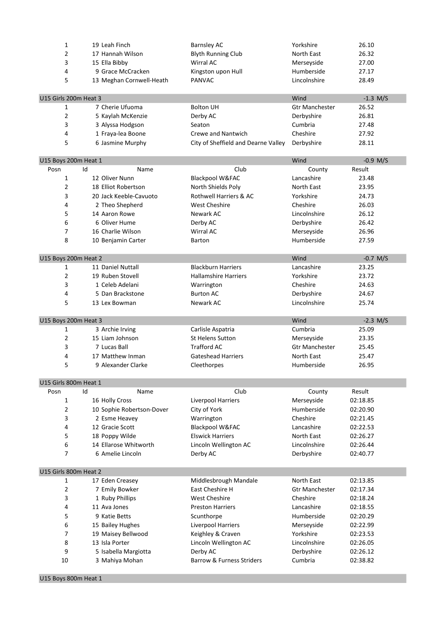| 1                             | 19 Leah Finch                          | <b>Barnsley AC</b>                               | Yorkshire             | 26.10                |
|-------------------------------|----------------------------------------|--------------------------------------------------|-----------------------|----------------------|
| 2                             | 17 Hannah Wilson                       | <b>Blyth Running Club</b>                        | North East            | 26.32                |
| 3                             | 15 Ella Bibby                          | Wirral AC                                        | Merseyside            | 27.00                |
| 4                             | 9 Grace McCracken                      | Kingston upon Hull                               | Humberside            | 27.17                |
| 5                             | 13 Meghan Cornwell-Heath               | <b>PANVAC</b>                                    | Lincolnshire          | 28.49                |
|                               |                                        |                                                  |                       |                      |
| U15 Girls 200m Heat 3         |                                        |                                                  | Wind                  | $-1.3$ M/S           |
| 1                             | 7 Cherie Ufuoma                        | <b>Bolton UH</b>                                 | <b>Gtr Manchester</b> | 26.52                |
| 2                             | 5 Kaylah McKenzie                      | Derby AC                                         | Derbyshire            | 26.81                |
| 3                             | 3 Alyssa Hodgson                       | Seaton                                           | Cumbria               | 27.48                |
| 4                             | 1 Fraya-lea Boone                      | <b>Crewe and Nantwich</b>                        | Cheshire              | 27.92                |
| 5                             | 6 Jasmine Murphy                       | City of Sheffield and Dearne Valley              | Derbyshire            | 28.11                |
|                               |                                        |                                                  |                       |                      |
| U15 Boys 200m Heat 1<br>Posn  | Id<br>Name                             | Club                                             | Wind<br>County        | $-0.9$ M/S<br>Result |
| 1                             | 12 Oliver Nunn                         | Blackpool W&FAC                                  | Lancashire            | 23.48                |
| 2                             | 18 Elliot Robertson                    | North Shields Poly                               | North East            | 23.95                |
| 3                             | 20 Jack Keeble-Cavuoto                 | Rothwell Harriers & AC                           | Yorkshire             | 24.73                |
| 4                             | 2 Theo Shepherd                        | <b>West Cheshire</b>                             | Cheshire              | 26.03                |
| 5                             | 14 Aaron Rowe                          | Newark AC                                        | Lincolnshire          | 26.12                |
| 6                             | 6 Oliver Hume                          | Derby AC                                         | Derbyshire            | 26.42                |
| 7                             | 16 Charlie Wilson                      | <b>Wirral AC</b>                                 | Merseyside            | 26.96                |
| 8                             | 10 Benjamin Carter                     | <b>Barton</b>                                    | Humberside            | 27.59                |
|                               |                                        |                                                  |                       |                      |
| U15 Boys 200m Heat 2          |                                        |                                                  | Wind                  | $-0.7$ M/S           |
| 1                             | 11 Daniel Nuttall                      | <b>Blackburn Harriers</b>                        | Lancashire            | 23.25                |
| 2                             | 19 Ruben Stovell                       | <b>Hallamshire Harriers</b>                      | Yorkshire             | 23.72                |
| 3                             | 1 Celeb Adelani                        | Warrington                                       | Cheshire              | 24.63                |
| 4                             | 5 Dan Brackstone                       | <b>Burton AC</b>                                 | Derbyshire            | 24.67                |
| 5                             | 13 Lex Bowman                          | Newark AC                                        | Lincolnshire          | 25.74                |
|                               |                                        |                                                  |                       |                      |
|                               |                                        |                                                  |                       |                      |
| U15 Boys 200m Heat 3          |                                        |                                                  | Wind                  | $-2.3$ M/S           |
| 1                             | 3 Archie Irving                        | Carlisle Aspatria                                | Cumbria               | 25.09                |
| 2                             | 15 Liam Johnson                        | <b>St Helens Sutton</b>                          | Merseyside            | 23.35                |
| 3                             | 7 Lucas Ball                           | <b>Trafford AC</b>                               | <b>Gtr Manchester</b> | 25.45                |
| 4                             | 17 Matthew Inman                       | <b>Gateshead Harriers</b>                        | North East            | 25.47                |
| 5                             | 9 Alexander Clarke                     | Cleethorpes                                      | Humberside            | 26.95                |
|                               |                                        |                                                  |                       |                      |
| U15 Girls 800m Heat 1<br>Posn | Id<br>Name                             | Club                                             | County                | Result               |
| 1                             | 16 Holly Cross                         | Liverpool Harriers                               | Merseyside            | 02:18.85             |
| 2                             | 10 Sophie Robertson-Dover              | City of York                                     | Humberside            | 02:20.90             |
| 3                             | 2 Esme Heavey                          | Warrington                                       | Cheshire              | 02:21.45             |
| 4                             | 12 Gracie Scott                        | Blackpool W&FAC                                  | Lancashire            | 02:22.53             |
| 5                             | 18 Poppy Wilde                         | <b>Elswick Harriers</b>                          | North East            | 02:26.27             |
| 6                             | 14 Ellarose Whitworth                  | Lincoln Wellington AC                            | Lincolnshire          | 02:26.44             |
| 7                             | 6 Amelie Lincoln                       | Derby AC                                         | Derbyshire            | 02:40.77             |
|                               |                                        |                                                  |                       |                      |
| U15 Girls 800m Heat 2         |                                        |                                                  |                       |                      |
| 1                             | 17 Eden Creasey                        | Middlesbrough Mandale                            | North East            | 02:13.85             |
| 2                             | 7 Emily Bowker                         | East Cheshire H                                  | <b>Gtr Manchester</b> | 02:17.34             |
| 3                             | 1 Ruby Phillips                        | <b>West Cheshire</b>                             | Cheshire              | 02:18.24             |
| 4                             | 11 Ava Jones                           | <b>Preston Harriers</b>                          | Lancashire            | 02:18.55             |
| 5                             | 9 Katie Betts                          | Scunthorpe                                       | Humberside            | 02:20.29             |
| 6                             | 15 Bailey Hughes                       | Liverpool Harriers                               | Merseyside            | 02:22.99             |
| 7                             | 19 Maisey Bellwood                     | Keighley & Craven                                | Yorkshire             | 02:23.53             |
| 8                             | 13 Isla Porter                         | Lincoln Wellington AC                            | Lincolnshire          | 02:26.05             |
| 9<br>10                       | 5 Isabella Margiotta<br>3 Mahiya Mohan | Derby AC<br><b>Barrow &amp; Furness Striders</b> | Derbyshire<br>Cumbria | 02:26.12<br>02:38.82 |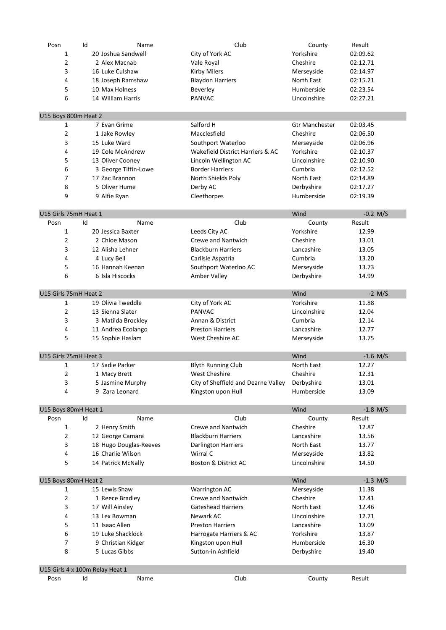| Posn                            | Id | Name                               | Club                                                      | County                   | Result     |
|---------------------------------|----|------------------------------------|-----------------------------------------------------------|--------------------------|------------|
| $\mathbf{1}$                    |    | 20 Joshua Sandwell                 | City of York AC                                           | Yorkshire                | 02:09.62   |
| $\overline{2}$                  |    | 2 Alex Macnab                      | Vale Royal                                                | Cheshire                 | 02:12.71   |
| 3                               |    | 16 Luke Culshaw                    | <b>Kirby Milers</b>                                       | Merseyside               | 02:14.97   |
| 4                               |    | 18 Joseph Ramshaw                  | <b>Blaydon Harriers</b>                                   | North East               | 02:15.21   |
| 5                               |    | 10 Max Holness                     | Beverley                                                  | Humberside               | 02:23.54   |
| 6                               |    | 14 William Harris                  | <b>PANVAC</b>                                             | Lincolnshire             | 02:27.21   |
|                                 |    |                                    |                                                           |                          |            |
| U15 Boys 800m Heat 2            |    |                                    |                                                           |                          |            |
| $\mathbf{1}$                    |    | 7 Evan Grime                       | Salford H                                                 | <b>Gtr Manchester</b>    | 02:03.45   |
| $\overline{2}$                  |    | 1 Jake Rowley                      | Macclesfield                                              | Cheshire                 | 02:06.50   |
| 3                               |    | 15 Luke Ward                       | Southport Waterloo                                        | Merseyside               | 02:06.96   |
| 4                               |    | 19 Cole McAndrew                   | Wakefield District Harriers & AC                          | Yorkshire                | 02:10.37   |
| 5                               |    | 13 Oliver Cooney                   | Lincoln Wellington AC                                     | Lincolnshire             | 02:10.90   |
| 6                               |    | 3 George Tiffin-Lowe               | <b>Border Harriers</b>                                    | Cumbria                  | 02:12.52   |
| $\overline{7}$                  |    | 17 Zac Brannon                     | North Shields Poly                                        | North East               | 02:14.89   |
| 8                               |    | 5 Oliver Hume                      | Derby AC                                                  | Derbyshire               | 02:17.27   |
| 9                               |    | 9 Alfie Ryan                       | Cleethorpes                                               | Humberside               | 02:19.39   |
|                                 |    |                                    |                                                           |                          |            |
| U15 Girls 75mH Heat 1           |    |                                    |                                                           | Wind                     | $-0.2$ M/S |
| Posn                            | Id | Name                               | Club                                                      | County                   | Result     |
| $\mathbf{1}$                    |    | 20 Jessica Baxter                  | Leeds City AC                                             | Yorkshire                | 12.99      |
| 2                               |    | 2 Chloe Mason                      | <b>Crewe and Nantwich</b>                                 | Cheshire                 | 13.01      |
| 3                               |    | 12 Alisha Lehner                   | <b>Blackburn Harriers</b>                                 | Lancashire               | 13.05      |
| 4                               |    | 4 Lucy Bell                        | Carlisle Aspatria                                         | Cumbria                  | 13.20      |
| 5                               |    | 16 Hannah Keenan                   | Southport Waterloo AC                                     | Merseyside               | 13.73      |
| 6                               |    | 6 Isla Hiscocks                    | Amber Valley                                              | Derbyshire               | 14.99      |
| U15 Girls 75mH Heat 2           |    |                                    |                                                           | Wind                     | $-2$ M/S   |
| $\mathbf{1}$                    |    | 19 Olivia Tweddle                  | City of York AC                                           | Yorkshire                | 11.88      |
| $\overline{2}$                  |    | 13 Sienna Slater                   | <b>PANVAC</b>                                             | Lincolnshire             | 12.04      |
| 3                               |    | 3 Matilda Brockley                 | Annan & District                                          | Cumbria                  | 12.14      |
| 4                               |    | 11 Andrea Ecolango                 | <b>Preston Harriers</b>                                   | Lancashire               | 12.77      |
| 5                               |    | 15 Sophie Haslam                   | West Cheshire AC                                          | Merseyside               | 13.75      |
| U15 Girls 75mH Heat 3           |    |                                    |                                                           | Wind                     | $-1.6$ M/S |
| 1                               |    | 17 Sadie Parker                    | <b>Blyth Running Club</b>                                 | North East               | 12.27      |
| 2                               |    |                                    | <b>West Cheshire</b>                                      | Cheshire                 | 12.31      |
| 3                               |    | 1 Macy Brett                       |                                                           |                          | 13.01      |
| 4                               |    | 5 Jasmine Murphy<br>9 Zara Leonard | City of Sheffield and Dearne Valley<br>Kingston upon Hull | Derbyshire<br>Humberside | 13.09      |
|                                 |    |                                    |                                                           |                          |            |
| U15 Boys 80mH Heat 1            |    |                                    |                                                           | Wind                     | $-1.8$ M/S |
| Posn                            | Id | Name                               | Club                                                      | County                   | Result     |
| $\mathbf{1}$                    |    | 2 Henry Smith                      | Crewe and Nantwich                                        | Cheshire                 | 12.87      |
| $\overline{2}$                  |    | 12 George Camara                   | <b>Blackburn Harriers</b>                                 | Lancashire               | 13.56      |
| 3                               |    | 18 Hugo Douglas-Reeves             | <b>Darlington Harriers</b>                                | North East               | 13.77      |
| 4                               |    | 16 Charlie Wilson                  | Wirral C                                                  | Merseyside               | 13.82      |
| 5                               |    | 14 Patrick McNally                 | Boston & District AC                                      | Lincolnshire             | 14.50      |
| U15 Boys 80mH Heat 2            |    |                                    |                                                           | Wind                     | $-1.3$ M/S |
| 1                               |    | 15 Lewis Shaw                      | Warrington AC                                             | Merseyside               | 11.38      |
| $\overline{2}$                  |    | 1 Reece Bradley                    | Crewe and Nantwich                                        | Cheshire                 | 12.41      |
| 3                               |    | 17 Will Ainsley                    | <b>Gateshead Harriers</b>                                 | North East               | 12.46      |
| 4                               |    | 13 Lex Bowman                      | Newark AC                                                 | Lincolnshire             | 12.71      |
| 5                               |    | 11 Isaac Allen                     | <b>Preston Harriers</b>                                   | Lancashire               | 13.09      |
| 6                               |    | 19 Luke Shacklock                  | Harrogate Harriers & AC                                   | Yorkshire                | 13.87      |
| $\overline{7}$                  |    | 9 Christian Kidger                 | Kingston upon Hull                                        | Humberside               | 16.30      |
| 8                               |    | 5 Lucas Gibbs                      | Sutton-in Ashfield                                        | Derbyshire               | 19.40      |
|                                 |    |                                    |                                                           |                          |            |
| U15 Girls 4 x 100m Relay Heat 1 |    |                                    |                                                           |                          |            |
| Posn                            | Id | Name                               | Club                                                      | County                   | Result     |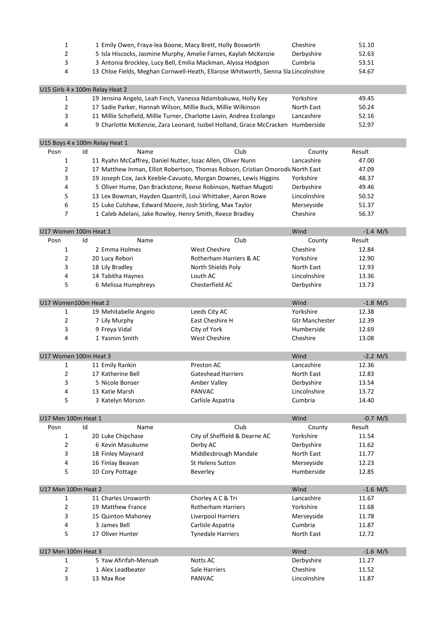| 1                               |    |                       | 1 Emily Owen, Fraya-lea Boone, Macy Brett, Holly Bosworth                           | Cheshire              | 51.10      |
|---------------------------------|----|-----------------------|-------------------------------------------------------------------------------------|-----------------------|------------|
| $\overline{2}$                  |    |                       | 5 Isla Hiscocks, Jasmine Murphy, Amelie Farnes, Kaylah McKenzie                     | Derbyshire            | 52.63      |
| 3                               |    |                       | 3 Antonia Brockley, Lucy Bell, Emilia Mackman, Alyssa Hodgson                       | Cumbria               | 53.51      |
| 4                               |    |                       | 13 Chloe Fields, Meghan Cornwell-Heath, Ellarose Whitworth, Sienna Sla Lincolnshire |                       | 54.67      |
|                                 |    |                       |                                                                                     |                       |            |
| U15 Girls 4 x 100m Relay Heat 2 |    |                       |                                                                                     |                       |            |
| 1                               |    |                       | 19 Jensina Angelo, Leah Finch, Vanessa Ndambakuwa, Holly Key                        | Yorkshire             | 49.45      |
| 2                               |    |                       | 17 Sadie Parker, Hannah Wilson, Millie Buck, Millie Wilkinson                       | North East            | 50.24      |
| 3                               |    |                       | 11 Millie Schofield, Millie Turner, Charlotte Lavin, Andrea Ecolango                | Lancashire            | 52.16      |
| 4                               |    |                       | 9 Charlotte McKenzie, Zara Leonard, Isobel Holland, Grace McCracken Humberside      |                       | 52.97      |
|                                 |    |                       |                                                                                     |                       |            |
| U15 Boys 4 x 100m Relay Heat 1  |    |                       |                                                                                     |                       |            |
| Posn                            | Id | Name                  | Club                                                                                | County                | Result     |
| 1                               |    |                       | 11 Ryahn McCaffrey, Daniel Nutter, Issac Allen, Oliver Nunn                         | Lancashire            | 47.00      |
| 2                               |    |                       | 17 Matthew Inman, Elliot Robertson, Thomas Robson, Cristian Omorodic North East     |                       | 47.09      |
| 3                               |    |                       | 19 Joseph Cox, Jack Keeble-Cavuoto, Morgan Downes, Lewis Higgins                    | Yorkshire             | 48.37      |
| 4                               |    |                       | 5 Oliver Hume, Dan Brackstone, Reese Robinson, Nathan Mugoti                        | Derbyshire            | 49.46      |
|                                 |    |                       |                                                                                     |                       |            |
| 5                               |    |                       | 13 Lex Bowman, Hayden Quantrill, Loui Whittaker, Aaron Rowe                         | Lincolnshire          | 50.52      |
| 6                               |    |                       | 15 Luke Culshaw, Edward Moore, Josh Stirling, Max Taylor                            | Merseyside            | 51.37      |
| 7                               |    |                       | 1 Caleb Adelani, Jake Rowley, Henry Smith, Reece Bradley                            | Cheshire              | 56.37      |
| U17 Women 100m Heat 1           |    |                       |                                                                                     | Wind                  | $-1.4$ M/S |
| Posn                            | Id | Name                  | Club                                                                                | County                | Result     |
| 1                               |    | 2 Emma Holmes         | <b>West Cheshire</b>                                                                | Cheshire              | 12.84      |
| 2                               |    |                       | Rotherham Harriers & AC                                                             | Yorkshire             | 12.90      |
|                                 |    | 20 Lucy Rebori        |                                                                                     |                       |            |
| 3                               |    | 18 Lily Bradley       | North Shields Poly                                                                  | North East            | 12.93      |
| 4                               |    | 14 Tabitha Haynes     | Louth AC                                                                            | Lincolnshire          | 13.36      |
| 5                               |    | 6 Melissa Humphreys   | Chesterfield AC                                                                     | Derbyshire            | 13.73      |
| U17 Women100m Heat 2            |    |                       |                                                                                     | Wind                  | $-1.8$ M/S |
| 1                               |    | 19 Mehitabelle Angelo | Leeds City AC                                                                       | Yorkshire             | 12.38      |
| 2                               |    | 7 Lily Murphy         | East Cheshire H                                                                     | <b>Gtr Manchester</b> | 12.39      |
| 3                               |    | 9 Freya Vidal         | City of York                                                                        | Humberside            | 12.69      |
| 4                               |    |                       | <b>West Cheshire</b>                                                                | Cheshire              |            |
|                                 |    | 1 Yasmin Smith        |                                                                                     |                       | 13.08      |
| U17 Women 100m Heat 3           |    |                       |                                                                                     | Wind                  | $-2.2$ M/S |
| 1                               |    | 11 Emily Rankin       | Preston AC                                                                          | Lancashire            | 12.36      |
| 2                               |    | 17 Katherine Bell     | <b>Gateshead Harriers</b>                                                           | North East            | 12.83      |
| 3                               |    | 5 Nicole Bonser       | Amber Valley                                                                        | Derbyshire            | 13.54      |
| 4                               |    | 13 Katie Marsh        | PANVAC                                                                              | Lincolnshire          | 13.72      |
| 5                               |    |                       |                                                                                     | Cumbria               | 14.40      |
|                                 |    | 3 Katelyn Morson      | Carlisle Aspatria                                                                   |                       |            |
| U17 Men 100m Heat 1             |    |                       |                                                                                     | Wind                  | $-0.7$ M/S |
| Posn                            | Id | Name                  | Club                                                                                | County                | Result     |
| 1                               |    | 20 Luke Chipchase     | City of Sheffield & Dearne AC                                                       | Yorkshire             | 11.54      |
| 2                               |    | 6 Kevin Masukume      | Derby AC                                                                            | Derbyshire            | 11.62      |
| 3                               |    | 18 Finley Maynard     | Middlesbrough Mandale                                                               | North East            | 11.77      |
| 4                               |    | 16 Finlay Beavan      | <b>St Helens Sutton</b>                                                             | Merseyside            | 12.23      |
| 5                               |    | 10 Cory Pottage       | Beverley                                                                            | Humberside            | 12.85      |
|                                 |    |                       |                                                                                     |                       |            |
| U17 Men 100m Heat 2             |    |                       |                                                                                     | Wind                  | $-1.6$ M/S |
| 1                               |    | 11 Charles Unsworth   | Chorley A C & Tri                                                                   | Lancashire            | 11.67      |
| 2                               |    | 19 Matthew France     | Rotherham Harriers                                                                  | Yorkshire             | 11.68      |
| 3                               |    | 15 Quinton Mahoney    | Liverpool Harriers                                                                  | Merseyside            | 11.78      |
| 4                               |    | 3 James Bell          | Carlisle Aspatria                                                                   | Cumbria               | 11.87      |
| 5                               |    | 17 Oliver Hunter      | <b>Tynedale Harriers</b>                                                            | North East            | 12.72      |
|                                 |    |                       |                                                                                     |                       |            |
| U17 Men 100m Heat 3             |    |                       |                                                                                     | Wind                  | $-1.6$ M/S |
| 1                               |    | 5 Yaw Afirifah-Mensah | <b>Notts AC</b>                                                                     | Derbyshire            | 11.27      |
| 2                               |    | 1 Alex Leadbeater     | Sale Harriers                                                                       | Cheshire              | 11.52      |
| 3                               |    | 13 Max Roe            | PANVAC                                                                              | Lincolnshire          | 11.87      |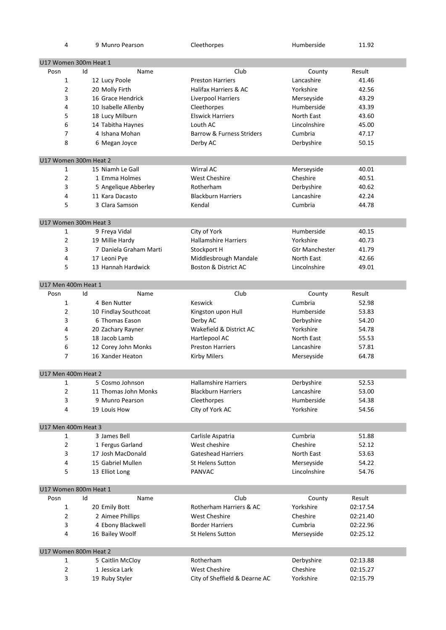| 4                     |    | 9 Munro Pearson        | Cleethorpes                     | Humberside            | 11.92    |
|-----------------------|----|------------------------|---------------------------------|-----------------------|----------|
|                       |    |                        |                                 |                       |          |
| U17 Women 300m Heat 1 |    |                        |                                 |                       |          |
| Posn                  | Id | Name                   | Club                            | County                | Result   |
| $\mathbf{1}$          |    | 12 Lucy Poole          | <b>Preston Harriers</b>         | Lancashire            | 41.46    |
| $\overline{2}$        |    | 20 Molly Firth         | Halifax Harriers & AC           | Yorkshire             | 42.56    |
| 3                     |    | 16 Grace Hendrick      | Liverpool Harriers              | Merseyside            | 43.29    |
| 4                     |    | 10 Isabelle Allenby    | Cleethorpes                     | Humberside            | 43.39    |
| 5                     |    | 18 Lucy Milburn        | <b>Elswick Harriers</b>         | North East            | 43.60    |
| 6                     |    | 14 Tabitha Haynes      | Louth AC                        | Lincolnshire          | 45.00    |
| 7                     |    | 4 Ishana Mohan         | Barrow & Furness Striders       | Cumbria               | 47.17    |
| 8                     |    | 6 Megan Joyce          | Derby AC                        | Derbyshire            | 50.15    |
| U17 Women 300m Heat 2 |    |                        |                                 |                       |          |
| 1                     |    | 15 Niamh Le Gall       | Wirral AC                       | Merseyside            | 40.01    |
| $\overline{2}$        |    | 1 Emma Holmes          | <b>West Cheshire</b>            | Cheshire              | 40.51    |
| 3                     |    | 5 Angelique Abberley   | Rotherham                       | Derbyshire            | 40.62    |
| 4                     |    | 11 Kara Dacasto        | <b>Blackburn Harriers</b>       | Lancashire            | 42.24    |
| 5                     |    | 3 Clara Samson         | Kendal                          | Cumbria               | 44.78    |
|                       |    |                        |                                 |                       |          |
| U17 Women 300m Heat 3 |    |                        |                                 |                       |          |
| 1                     |    | 9 Freya Vidal          | City of York                    | Humberside            | 40.15    |
| 2                     |    | 19 Millie Hardy        | <b>Hallamshire Harriers</b>     | Yorkshire             | 40.73    |
| 3                     |    | 7 Daniela Graham Marti | Stockport H                     | <b>Gtr Manchester</b> | 41.79    |
| 4                     |    | 17 Leoni Pye           | Middlesbrough Mandale           | North East            | 42.66    |
| 5                     |    | 13 Hannah Hardwick     | <b>Boston &amp; District AC</b> | Lincolnshire          | 49.01    |
| U17 Men 400m Heat 1   |    |                        |                                 |                       |          |
| Posn                  | Id | Name                   | Club                            | County                | Result   |
| $\mathbf{1}$          |    | 4 Ben Nutter           | <b>Keswick</b>                  | Cumbria               | 52.98    |
| $\overline{2}$        |    | 10 Findlay Southcoat   | Kingston upon Hull              | Humberside            | 53.83    |
| 3                     |    | 6 Thomas Eason         | Derby AC                        | Derbyshire            | 54.20    |
| 4                     |    | 20 Zachary Rayner      | Wakefield & District AC         | Yorkshire             | 54.78    |
| 5                     |    | 18 Jacob Lamb          | Hartlepool AC                   | North East            | 55.53    |
| 6                     |    | 12 Corey John Monks    | <b>Preston Harriers</b>         | Lancashire            | 57.81    |
| $\overline{7}$        |    | 16 Xander Heaton       | <b>Kirby Milers</b>             | Merseyside            | 64.78    |
|                       |    |                        |                                 |                       |          |
| U17 Men 400m Heat 2   |    |                        |                                 |                       |          |
| 1                     |    | 5 Cosmo Johnson        | <b>Hallamshire Harriers</b>     | Derbyshire            | 52.53    |
| $\overline{2}$        |    | 11 Thomas John Monks   | <b>Blackburn Harriers</b>       | Lancashire            | 53.00    |
| 3                     |    | 9 Munro Pearson        | Cleethorpes                     | Humberside            | 54.38    |
| 4                     |    | 19 Louis How           | City of York AC                 | Yorkshire             | 54.56    |
| U17 Men 400m Heat 3   |    |                        |                                 |                       |          |
| 1                     |    | 3 James Bell           | Carlisle Aspatria               | Cumbria               | 51.88    |
| $\overline{2}$        |    | 1 Fergus Garland       | West cheshire                   | Cheshire              | 52.12    |
| 3                     |    | 17 Josh MacDonald      | <b>Gateshead Harriers</b>       | North East            | 53.63    |
| 4                     |    | 15 Gabriel Mullen      | <b>St Helens Sutton</b>         | Merseyside            | 54.22    |
| 5                     |    | 13 Elliot Long         | <b>PANVAC</b>                   | Lincolnshire          | 54.76    |
| U17 Women 800m Heat 1 |    |                        |                                 |                       |          |
| Posn                  | Id | Name                   | Club                            | County                | Result   |
| $\mathbf{1}$          |    | 20 Emily Bott          | Rotherham Harriers & AC         | Yorkshire             | 02:17.54 |
| $\overline{2}$        |    | 2 Aimee Phillips       | <b>West Cheshire</b>            | Cheshire              | 02:21.40 |
| 3                     |    | 4 Ebony Blackwell      | <b>Border Harriers</b>          | Cumbria               | 02:22.96 |
| 4                     |    |                        |                                 |                       |          |
|                       |    | 16 Bailey Woolf        | <b>St Helens Sutton</b>         | Merseyside            | 02:25.12 |
| U17 Women 800m Heat 2 |    |                        |                                 |                       |          |
| 1                     |    | 5 Caitlin McCloy       | Rotherham                       | Derbyshire            | 02:13.88 |
| 2                     |    | 1 Jessica Lark         | <b>West Cheshire</b>            | Cheshire              | 02:15.27 |
| 3                     |    | 19 Ruby Styler         | City of Sheffield & Dearne AC   | Yorkshire             | 02:15.79 |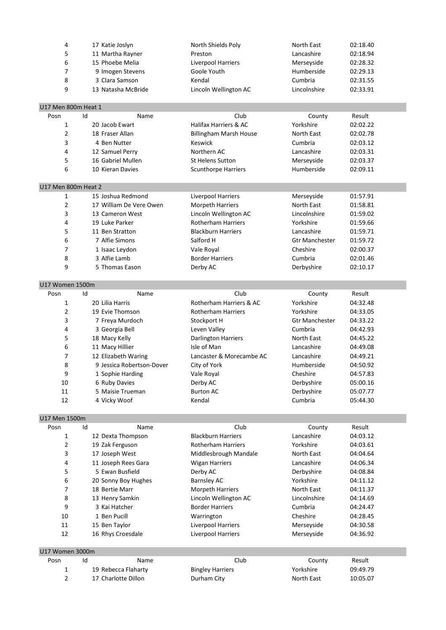| 4 | 17 Katie Joslyn    | North Shields Poly    | North East   | 02:18.40 |
|---|--------------------|-----------------------|--------------|----------|
|   | 11 Martha Rayner   | Preston               | Lancashire   | 02:18.94 |
| 6 | 15 Phoebe Melia    | Liverpool Harriers    | Merseyside   | 02:28.32 |
|   | 9 Imogen Stevens   | Goole Youth           | Humberside   | 02:29.13 |
| 8 | 3 Clara Samson     | Kendal                | Cumbria      | 02:31.55 |
| 9 | 13 Natasha McBride | Lincoln Wellington AC | Lincolnshire | 02:33.91 |

### U17 Men 800m Heat 1

| Posn | Name<br>Id        | Club                          | County     | Result   |  |
|------|-------------------|-------------------------------|------------|----------|--|
|      | 20 Jacob Ewart    | Halifax Harriers & AC         | Yorkshire  | 02:02.22 |  |
|      | 18 Fraser Allan   | <b>Billingham Marsh House</b> | North East | 02:02.78 |  |
|      | 4 Ben Nutter      | Keswick                       | Cumbria    | 02:03.12 |  |
| 4    | 12 Samuel Perry   | Northern AC                   | Lancashire | 02:03.31 |  |
| 5.   | 16 Gabriel Mullen | <b>St Helens Sutton</b>       | Merseyside | 02:03.37 |  |
| 6    | 10 Kieran Davies  | <b>Scunthorpe Harriers</b>    | Humberside | 02:09.11 |  |

# U17 Men 800m Heat 2

| 1 | 15 Joshua Redmond       | Liverpool Harriers        | Merseyside            | 01:57.91 |  |
|---|-------------------------|---------------------------|-----------------------|----------|--|
| 2 | 17 William De Vere Owen | <b>Morpeth Harriers</b>   | North East            | 01:58.81 |  |
| 3 | 13 Cameron West         | Lincoln Wellington AC     | Lincolnshire          | 01:59.02 |  |
| 4 | 19 Luke Parker          | <b>Rotherham Harriers</b> | Yorkshire             | 01:59.66 |  |
| 5 | 11 Ben Stratton         | <b>Blackburn Harriers</b> | Lancashire            | 01:59.71 |  |
| 6 | 7 Alfie Simons          | Salford H                 | <b>Gtr Manchester</b> | 01:59.72 |  |
| 7 | 1 Isaac Leydon          | Vale Royal                | Cheshire              | 02:00.37 |  |
| 8 | 3 Alfie Lamb            | <b>Border Harriers</b>    | Cumbria               | 02:01.46 |  |
| 9 | 5 Thomas Eason          | Derby AC                  | Derbyshire            | 02:10.17 |  |

U17 Women 1500m

| Posn | Id<br>Name                | Club                       | County                | Result   |  |
|------|---------------------------|----------------------------|-----------------------|----------|--|
| 1    | 20 Lilia Harris           | Rotherham Harriers & AC    | Yorkshire             | 04:32.48 |  |
| 2    | 19 Evie Thomson           | <b>Rotherham Harriers</b>  | Yorkshire             | 04:33.05 |  |
| 3    | 7 Freya Murdoch           | Stockport H                | <b>Gtr Manchester</b> | 04:33.22 |  |
| 4    | 3 Georgia Bell            | Leven Valley               | Cumbria               | 04:42.93 |  |
| 5    | 18 Macy Kelly             | <b>Darlington Harriers</b> | North East            | 04:45.22 |  |
| 6    | 11 Macy Hillier           | Isle of Man                | Lancashire            | 04:49.08 |  |
|      | 12 Elizabeth Waring       | Lancaster & Morecambe AC   | Lancashire            | 04:49.21 |  |
| 8    | 9 Jessica Robertson-Dover | City of York               | Humberside            | 04:50.92 |  |
| 9    | 1 Sophie Harding          | Vale Royal                 | Cheshire              | 04:57.83 |  |
| 10   | 6 Ruby Davies             | Derby AC                   | Derbyshire            | 05:00.16 |  |
| 11   | 5 Maisie Trueman          | <b>Burton AC</b>           | Derbyshire            | 05:07.77 |  |
| 12   | 4 Vicky Woof              | Kendal                     | Cumbria               | 05:44.30 |  |

U17 Men 1500m

| UTA MEN TOMIH   |                     |                           |              |          |  |
|-----------------|---------------------|---------------------------|--------------|----------|--|
| Posn            | Id<br>Name          | Club                      | County       | Result   |  |
| 1               | 12 Dexta Thompson   | <b>Blackburn Harriers</b> | Lancashire   | 04:03.12 |  |
| 2               | 19 Zak Ferguson     | <b>Rotherham Harriers</b> | Yorkshire    | 04:03.61 |  |
| 3               | 17 Joseph West      | Middlesbrough Mandale     | North East   | 04:04.64 |  |
| 4               | 11 Joseph Rees Gara | Wigan Harriers            | Lancashire   | 04:06.34 |  |
| 5               | 5 Ewan Busfield     | Derby AC                  | Derbyshire   | 04:08.84 |  |
| 6               | 20 Sonny Boy Hughes | Barnsley AC               | Yorkshire    | 04:11.12 |  |
| 7               | 18 Bertie Marr      | <b>Morpeth Harriers</b>   | North East   | 04:11.37 |  |
| 8               | 13 Henry Samkin     | Lincoln Wellington AC     | Lincolnshire | 04:14.69 |  |
| 9               | 3 Kai Hatcher       | <b>Border Harriers</b>    | Cumbria      | 04:24.47 |  |
| 10              | 1 Ben Pucill        | Warrington                | Cheshire     | 04:28.45 |  |
| 11              | 15 Ben Taylor       | Liverpool Harriers        | Merseyside   | 04:30.58 |  |
| 12              | 16 Rhys Croesdale   | Liverpool Harriers        | Merseyside   | 04:36.92 |  |
|                 |                     |                           |              |          |  |
| U17 Women 3000m |                     |                           |              |          |  |
| Posn            | Id<br>Name          | Club                      | County       | Result   |  |
| 1               | 19 Rebecca Flaharty | <b>Bingley Harriers</b>   | Yorkshire    | 09:49.79 |  |
| 2               | 17 Charlotte Dillon | Durham City               | North East   | 10:05.07 |  |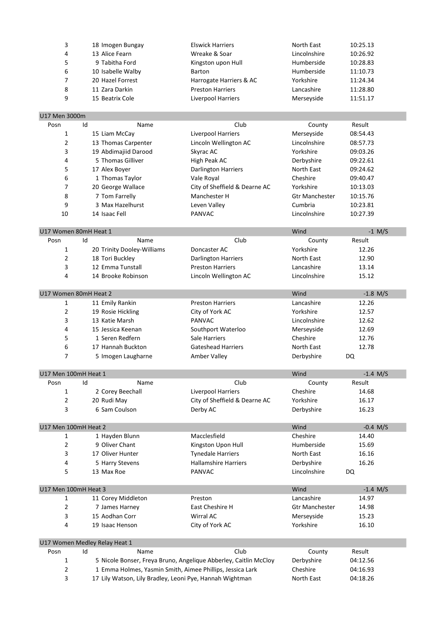| 3                            | 18 Imogen Bungay                   | <b>Elswick Harriers</b>                                                                                               | North East                 | 10:25.13             |
|------------------------------|------------------------------------|-----------------------------------------------------------------------------------------------------------------------|----------------------------|----------------------|
| 4                            | 13 Alice Fearn                     | Wreake & Soar                                                                                                         | Lincolnshire               | 10:26.92             |
| 5                            | 9 Tabitha Ford                     | Kingston upon Hull                                                                                                    | Humberside                 | 10:28.83             |
| 6                            | 10 Isabelle Walby                  | <b>Barton</b>                                                                                                         | Humberside                 | 11:10.73             |
| 7                            | 20 Hazel Forrest                   | Harrogate Harriers & AC                                                                                               | Yorkshire                  | 11:24.34             |
| 8                            | 11 Zara Darkin                     | <b>Preston Harriers</b>                                                                                               | Lancashire                 | 11:28.80             |
| 9                            | 15 Beatrix Cole                    | <b>Liverpool Harriers</b>                                                                                             | Merseyside                 | 11:51.17             |
|                              |                                    |                                                                                                                       |                            |                      |
| U17 Men 3000m                |                                    |                                                                                                                       |                            |                      |
| Posn                         | Id<br>Name                         | Club                                                                                                                  | County                     | Result               |
| $\mathbf{1}$                 | 15 Liam McCay                      | Liverpool Harriers                                                                                                    | Merseyside                 | 08:54.43             |
| $\overline{2}$               | 13 Thomas Carpenter                | Lincoln Wellington AC                                                                                                 | Lincolnshire               | 08:57.73             |
| 3                            | 19 Abdimajiid Darood               | Skyrac AC                                                                                                             | Yorkshire                  | 09:03.26             |
| 4                            | 5 Thomas Gilliver                  | High Peak AC                                                                                                          | Derbyshire                 | 09:22.61             |
| 5                            | 17 Alex Boyer                      | <b>Darlington Harriers</b>                                                                                            | North East                 | 09:24.62             |
| 6                            | 1 Thomas Taylor                    | Vale Royal                                                                                                            | Cheshire                   | 09:40.47             |
| 7                            | 20 George Wallace                  | City of Sheffield & Dearne AC                                                                                         | Yorkshire                  | 10:13.03             |
| 8                            | 7 Tom Farrelly                     | Manchester H                                                                                                          | <b>Gtr Manchester</b>      | 10:15.76             |
| 9                            | 3 Max Hazelhurst                   | Leven Valley                                                                                                          | Cumbria                    | 10:23.81             |
| 10                           | 14 Isaac Fell                      | PANVAC                                                                                                                | Lincolnshire               | 10:27.39             |
|                              |                                    |                                                                                                                       |                            |                      |
| U17 Women 80mH Heat 1        |                                    |                                                                                                                       | Wind                       | $-1$ M/S             |
| Posn                         | Name<br>Id                         | Club                                                                                                                  | County                     | Result               |
| 1                            | 20 Trinity Dooley-Williams         | Doncaster AC                                                                                                          | Yorkshire                  | 12.26                |
| 2                            | 18 Tori Buckley                    | <b>Darlington Harriers</b>                                                                                            | North East                 | 12.90                |
| 3                            | 12 Emma Tunstall                   | <b>Preston Harriers</b>                                                                                               | Lancashire                 | 13.14                |
| 4                            | 14 Brooke Robinson                 | Lincoln Wellington AC                                                                                                 | Lincolnshire               | 15.12                |
|                              |                                    |                                                                                                                       |                            |                      |
| U17 Women 80mH Heat 2        |                                    |                                                                                                                       | Wind                       | $-1.8$ M/S           |
| 1                            | 11 Emily Rankin                    | <b>Preston Harriers</b>                                                                                               | Lancashire                 | 12.26                |
| 2                            | 19 Rosie Hickling                  | City of York AC                                                                                                       | Yorkshire                  | 12.57                |
| 3                            | 13 Katie Marsh                     | <b>PANVAC</b>                                                                                                         | Lincolnshire               | 12.62                |
| 4                            | 15 Jessica Keenan                  | Southport Waterloo                                                                                                    | Merseyside                 | 12.69                |
| 5                            | 1 Seren Redfern                    | Sale Harriers                                                                                                         | Cheshire                   | 12.76                |
| 6                            | 17 Hannah Buckton                  | <b>Gateshead Harriers</b>                                                                                             | North East                 | 12.78                |
| 7                            | 5 Imogen Laugharne                 | Amber Valley                                                                                                          | Derbyshire                 | DQ                   |
|                              |                                    |                                                                                                                       |                            |                      |
| U17 Men 100mH Heat 1<br>Posn | Id<br>Name                         | Club                                                                                                                  | Wind<br>County             | $-1.4$ M/S<br>Result |
| 1                            | 2 Corey Beechall                   | Liverpool Harriers                                                                                                    | Cheshire                   | 14.68                |
| 2                            | 20 Rudi May                        | City of Sheffield & Dearne AC                                                                                         | Yorkshire                  | 16.17                |
| 3                            |                                    |                                                                                                                       |                            |                      |
|                              |                                    |                                                                                                                       |                            |                      |
|                              | 6 Sam Coulson                      | Derby AC                                                                                                              | Derbyshire                 | 16.23                |
|                              |                                    |                                                                                                                       |                            |                      |
| U17 Men 100mH Heat 2<br>1    |                                    | Macclesfield                                                                                                          | Wind<br>Cheshire           | $-0.4$ M/S<br>14.40  |
| 2                            | 1 Hayden Blunn                     |                                                                                                                       | Humberside                 |                      |
| 3                            | 9 Oliver Chant<br>17 Oliver Hunter | Kingston Upon Hull                                                                                                    | North East                 | 15.69                |
| 4                            |                                    | <b>Tynedale Harriers</b>                                                                                              |                            | 16.16                |
| 5                            | 5 Harry Stevens<br>13 Max Roe      | <b>Hallamshire Harriers</b><br>PANVAC                                                                                 | Derbyshire<br>Lincolnshire | 16.26<br>DQ          |
|                              |                                    |                                                                                                                       |                            |                      |
| U17 Men 100mH Heat 3         |                                    |                                                                                                                       | Wind                       | $-1.4$ M/S           |
| 1                            | 11 Corey Middleton                 | Preston                                                                                                               | Lancashire                 | 14.97                |
| 2                            | 7 James Harney                     | East Cheshire H                                                                                                       | <b>Gtr Manchester</b>      | 14.98                |
| 3                            | 15 Aodhan Corr                     | Wirral AC                                                                                                             | Merseyside                 | 15.23                |
| 4                            | 19 Isaac Henson                    | City of York AC                                                                                                       | Yorkshire                  | 16.10                |
|                              |                                    |                                                                                                                       |                            |                      |
|                              | U17 Women Medley Relay Heat 1      |                                                                                                                       |                            |                      |
| Posn                         | Id<br>Name                         | Club                                                                                                                  | County                     | Result               |
| 1                            |                                    | 5 Nicole Bonser, Freya Bruno, Angelique Abberley, Caitlin McCloy                                                      | Derbyshire                 | 04:12.56             |
| 2<br>3                       |                                    | 1 Emma Holmes, Yasmin Smith, Aimee Phillips, Jessica Lark<br>17 Lily Watson, Lily Bradley, Leoni Pye, Hannah Wightman | Cheshire<br>North East     | 04:16.93<br>04:18.26 |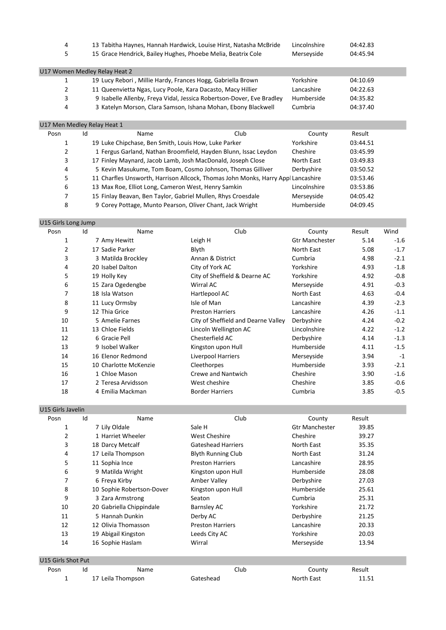|      | 4                             | 13 Tabitha Haynes, Hannah Hardwick, Louise Hirst, Natasha McBride                |      | Lincolnshire | 04:42.83 |
|------|-------------------------------|----------------------------------------------------------------------------------|------|--------------|----------|
|      | 5                             | 15 Grace Hendrick, Bailey Hughes, Phoebe Melia, Beatrix Cole                     |      | Merseyside   | 04:45.94 |
|      | U17 Women Medley Relay Heat 2 |                                                                                  |      |              |          |
|      | 1                             | 19 Lucy Rebori, Millie Hardy, Frances Hogg, Gabriella Brown                      |      | Yorkshire    | 04:10.69 |
|      | 2                             | 11 Queenvietta Ngas, Lucy Poole, Kara Dacasto, Macy Hillier                      |      | Lancashire   | 04:22.63 |
|      | 3                             | 9 Isabelle Allenby, Freya Vidal, Jessica Robertson-Dover, Eve Bradley            |      | Humberside   | 04:35.82 |
|      | 4                             | 3 Katelyn Morson, Clara Samson, Ishana Mohan, Ebony Blackwell                    |      | Cumbria      | 04:37.40 |
|      | U17 Men Medley Relay Heat 1   |                                                                                  |      |              |          |
| Posn | Id                            | Name                                                                             | Club | County       | Result   |
|      | 1                             | 19 Luke Chipchase, Ben Smith, Louis How, Luke Parker                             |      | Yorkshire    | 03:44.51 |
|      | 2                             | 1 Fergus Garland, Nathan Broomfield, Hayden Blunn, Issac Leydon                  |      | Cheshire     | 03:45.99 |
|      | 3                             | 17 Finley Maynard, Jacob Lamb, Josh MacDonald, Joseph Close                      |      | North East   | 03:49.83 |
|      | 4                             | 5 Kevin Masukume, Tom Boam, Cosmo Johnson, Thomas Gilliver                       |      | Derbyshire   | 03:50.52 |
|      | 5                             | 11 Charfles Unsworth, Harrison Allcock, Thomas John Monks, Harry Appl Lancashire |      |              | 03:53.46 |
|      | 6                             | 13 Max Roe, Elliot Long, Cameron West, Henry Samkin                              |      | Lincolnshire | 03:53.86 |
|      |                               |                                                                                  |      |              |          |
|      | 7                             | 15 Finlay Beavan, Ben Taylor, Gabriel Mullen, Rhys Croesdale                     |      | Merseyside   | 04:05.42 |

| U15 Girls Long Jump |    |                       |                                     |                       |        |        |
|---------------------|----|-----------------------|-------------------------------------|-----------------------|--------|--------|
| Posn                | Id | Name                  | Club                                | County                | Result | Wind   |
| 1                   |    | 7 Amy Hewitt          | Leigh H                             | <b>Gtr Manchester</b> | 5.14   | $-1.6$ |
| 2                   |    | 17 Sadie Parker       | Blyth                               | North East            | 5.08   | $-1.7$ |
| 3                   |    | 3 Matilda Brockley    | Annan & District                    | Cumbria               | 4.98   | $-2.1$ |
| 4                   |    | 20 Isabel Dalton      | City of York AC                     | Yorkshire             | 4.93   | $-1.8$ |
| 5                   |    | 19 Holly Key          | City of Sheffield & Dearne AC       | Yorkshire             | 4.92   | $-0.8$ |
| 6                   |    | 15 Zara Ogedengbe     | Wirral AC                           | Merseyside            | 4.91   | $-0.3$ |
| 7                   |    | 18 Isla Watson        | Hartlepool AC                       | North East            | 4.63   | $-0.4$ |
| 8                   |    | 11 Lucy Ormsby        | Isle of Man                         | Lancashire            | 4.39   | $-2.3$ |
| 9                   |    | 12 Thia Grice         | <b>Preston Harriers</b>             | Lancashire            | 4.26   | $-1.1$ |
| 10                  |    | 5 Amelie Farnes       | City of Sheffield and Dearne Valley | Derbyshire            | 4.24   | $-0.2$ |
| 11                  |    | 13 Chloe Fields       | Lincoln Wellington AC               | Lincolnshire          | 4.22   | $-1.2$ |
| 12                  |    | 6 Gracie Pell         | Chesterfield AC                     | Derbyshire            | 4.14   | $-1.3$ |
| 13                  |    | 9 Isobel Walker       | Kingston upon Hull                  | Humberside            | 4.11   | $-1.5$ |
| 14                  |    | 16 Elenor Redmond     | Liverpool Harriers                  | Merseyside            | 3.94   | $-1$   |
| 15                  |    | 10 Charlotte McKenzie | Cleethorpes                         | Humberside            | 3.93   | $-2.1$ |
| 16                  |    | 1 Chloe Mason         | Crewe and Nantwich                  | Cheshire              | 3.90   | $-1.6$ |
| 17                  |    | 2 Teresa Arvidsson    | West cheshire                       | Cheshire              | 3.85   | $-0.6$ |
| 18                  |    | 4 Emilia Mackman      | <b>Border Harriers</b>              | Cumbria               | 3.85   | $-0.5$ |
|                     |    |                       |                                     |                       |        |        |

| U15 Girls Javelin  |    |                           |                           |                       |        |
|--------------------|----|---------------------------|---------------------------|-----------------------|--------|
| Posn               | Id | Name                      | Club                      | County                | Result |
| 1                  |    | 7 Lily Oldale             | Sale H                    | <b>Gtr Manchester</b> | 39.85  |
| 2                  |    | 1 Harriet Wheeler         | <b>West Cheshire</b>      | Cheshire              | 39.27  |
| 3                  |    | 18 Darcy Metcalf          | <b>Gateshead Harriers</b> | North East            | 35.35  |
| 4                  |    | 17 Leila Thompson         | <b>Blyth Running Club</b> | North East            | 31.24  |
| 5                  |    | 11 Sophia Ince            | <b>Preston Harriers</b>   | Lancashire            | 28.95  |
| 6                  |    | 9 Matilda Wright          | Kingston upon Hull        | Humberside            | 28.08  |
| 7                  |    | 6 Freya Kirby             | Amber Valley              | Derbyshire            | 27.03  |
| 8                  |    | 10 Sophie Robertson-Dover | Kingston upon Hull        | Humberside            | 25.61  |
| 9                  |    | 3 Zara Armstrong          | Seaton                    | Cumbria               | 25.31  |
| 10                 |    | 20 Gabriella Chippindale  | <b>Barnsley AC</b>        | Yorkshire             | 21.72  |
| 11                 |    | 5 Hannah Dunkin           | Derby AC                  | Derbyshire            | 21.25  |
| 12                 |    | 12 Olivia Thomasson       | <b>Preston Harriers</b>   | Lancashire            | 20.33  |
| 13                 |    | 19 Abigail Kingston       | Leeds City AC             | Yorkshire             | 20.03  |
| 14                 |    | 16 Sophie Haslam          | Wirral                    | Merseyside            | 13.94  |
|                    |    |                           |                           |                       |        |
| U15 Girls Shot Put |    |                           |                           |                       |        |
| Posn               | Id | Name                      | Club                      | County                | Result |
| 1                  |    | 17 Leila Thompson         | Gateshead                 | North East            | 11.51  |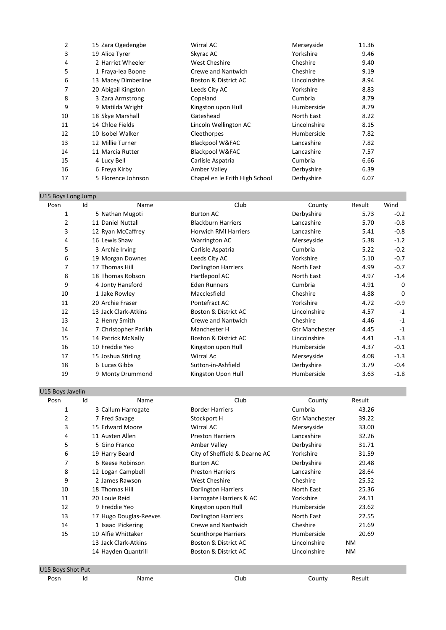| 2  | 15 Zara Ogedengbe   | Wirral AC                      | Merseyside   | 11.36 |
|----|---------------------|--------------------------------|--------------|-------|
| 3  | 19 Alice Tyrer      | Skyrac AC                      | Yorkshire    | 9.46  |
| 4  | 2 Harriet Wheeler   | <b>West Cheshire</b>           | Cheshire     | 9.40  |
| 5  | 1 Fraya-lea Boone   | <b>Crewe and Nantwich</b>      | Cheshire     | 9.19  |
| 6  | 13 Macey Dimberline | Boston & District AC           | Lincolnshire | 8.94  |
| 7  | 20 Abigail Kingston | Leeds City AC                  | Yorkshire    | 8.83  |
| 8  | 3 Zara Armstrong    | Copeland                       | Cumbria      | 8.79  |
| 9  | 9 Matilda Wright    | Kingston upon Hull             | Humberside   | 8.79  |
| 10 | 18 Skye Marshall    | Gateshead                      | North East   | 8.22  |
| 11 | 14 Chloe Fields     | Lincoln Wellington AC          | Lincolnshire | 8.15  |
| 12 | 10 Isobel Walker    | Cleethorpes                    | Humberside   | 7.82  |
| 13 | 12 Millie Turner    | Blackpool W&FAC                | Lancashire   | 7.82  |
| 14 | 11 Marcia Rutter    | Blackpool W&FAC                | Lancashire   | 7.57  |
| 15 | 4 Lucy Bell         | Carlisle Aspatria              | Cumbria      | 6.66  |
| 16 | 6 Freya Kirby       | Amber Valley                   | Derbyshire   | 6.39  |
| 17 | 5 Florence Johnson  | Chapel en le Frith High School | Derbyshire   | 6.07  |

| U15 Boys Long Jump |    |                      |                             |                       |        |        |
|--------------------|----|----------------------|-----------------------------|-----------------------|--------|--------|
| Posn               | Id | Name                 | Club                        | County                | Result | Wind   |
| 1                  |    | 5 Nathan Mugoti      | <b>Burton AC</b>            | Derbyshire            | 5.73   | $-0.2$ |
| 2                  |    | 11 Daniel Nuttall    | <b>Blackburn Harriers</b>   | Lancashire            | 5.70   | $-0.8$ |
| 3                  |    | 12 Ryan McCaffrey    | <b>Horwich RMI Harriers</b> | Lancashire            | 5.41   | $-0.8$ |
| 4                  |    | 16 Lewis Shaw        | <b>Warrington AC</b>        | Merseyside            | 5.38   | $-1.2$ |
| 5                  |    | 3 Archie Irving      | Carlisle Aspatria           | Cumbria               | 5.22   | $-0.2$ |
| 6                  |    | 19 Morgan Downes     | Leeds City AC               | Yorkshire             | 5.10   | $-0.7$ |
| 7                  |    | 17 Thomas Hill       | <b>Darlington Harriers</b>  | North East            | 4.99   | $-0.7$ |
| 8                  |    | 18 Thomas Robson     | Hartlepool AC               | North East            | 4.97   | $-1.4$ |
| 9                  |    | 4 Jonty Hansford     | <b>Eden Runners</b>         | Cumbria               | 4.91   | 0      |
| 10                 |    | 1 Jake Rowley        | Macclesfield                | Cheshire              | 4.88   | 0      |
| 11                 |    | 20 Archie Fraser     | Pontefract AC               | Yorkshire             | 4.72   | $-0.9$ |
| 12                 |    | 13 Jack Clark-Atkins | Boston & District AC        | Lincolnshire          | 4.57   | $-1$   |
| 13                 |    | 2 Henry Smith        | Crewe and Nantwich          | Cheshire              | 4.46   | $-1$   |
| 14                 |    | 7 Christopher Parikh | Manchester H                | <b>Gtr Manchester</b> | 4.45   | $-1$   |
| 15                 |    | 14 Patrick McNally   | Boston & District AC        | Lincolnshire          | 4.41   | $-1.3$ |
| 16                 |    | 10 Freddie Yeo       | Kingston upon Hull          | Humberside            | 4.37   | $-0.1$ |
| 17                 |    | 15 Joshua Stirling   | Wirral Ac                   | Merseyside            | 4.08   | $-1.3$ |
| 18                 |    | 6 Lucas Gibbs        | Sutton-in-Ashfield          | Derbyshire            | 3.79   | $-0.4$ |
| 19                 |    | 9 Monty Drummond     | Kingston Upon Hull          | Humberside            | 3.63   | $-1.8$ |

### U15 Boys Javelin

| Posn | Id<br>Name             | Club                          | County                | Result    |
|------|------------------------|-------------------------------|-----------------------|-----------|
| 1    | 3 Callum Harrogate     | <b>Border Harriers</b>        | Cumbria               | 43.26     |
| 2    | 7 Fred Savage          | Stockport H                   | <b>Gtr Manchester</b> | 39.22     |
| 3    | 15 Edward Moore        | Wirral AC                     | Merseyside            | 33.00     |
| 4    | 11 Austen Allen        | <b>Preston Harriers</b>       | Lancashire            | 32.26     |
| 5    | 5 Gino Franco          | Amber Valley                  | Derbyshire            | 31.71     |
| 6    | 19 Harry Beard         | City of Sheffield & Dearne AC | Yorkshire             | 31.59     |
| 7    | 6 Reese Robinson       | <b>Burton AC</b>              | Derbyshire            | 29.48     |
| 8    | 12 Logan Campbell      | <b>Preston Harriers</b>       | Lancashire            | 28.64     |
| 9    | 2 James Rawson         | <b>West Cheshire</b>          | Cheshire              | 25.52     |
| 10   | 18 Thomas Hill         | <b>Darlington Harriers</b>    | North East            | 25.36     |
| 11   | 20 Louie Reid          | Harrogate Harriers & AC       | Yorkshire             | 24.11     |
| 12   | 9 Freddie Yeo          | Kingston upon Hull            | Humberside            | 23.62     |
| 13   | 17 Hugo Douglas-Reeves | Darlington Harriers           | North East            | 22.55     |
| 14   | 1 Isaac Pickering      | Crewe and Nantwich            | Cheshire              | 21.69     |
| 15   | 10 Alfie Whittaker     | <b>Scunthorpe Harriers</b>    | Humberside            | 20.69     |
|      | 13 Jack Clark-Atkins   | Boston & District AC          | Lincolnshire          | <b>NM</b> |
|      | 14 Hayden Quantrill    | Boston & District AC          | Lincolnshire          | <b>NM</b> |

### U15 Boys Shot Put Posn Id Name Club County Result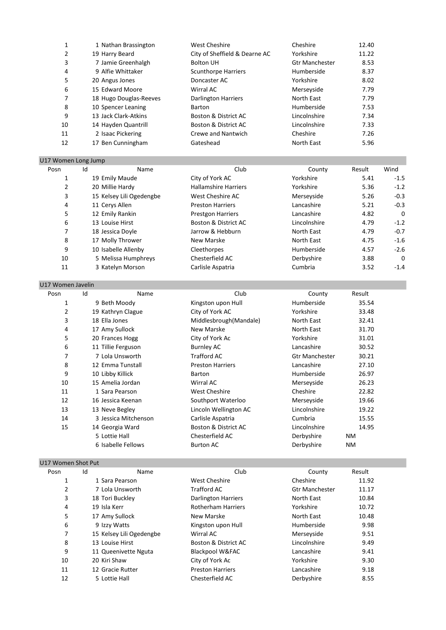| 1 Nathan Brassington   | <b>West Cheshire</b>          | Cheshire              | 12.40 |
|------------------------|-------------------------------|-----------------------|-------|
| 19 Harry Beard         | City of Sheffield & Dearne AC | Yorkshire             | 11.22 |
| 7 Jamie Greenhalgh     | <b>Bolton UH</b>              | <b>Gtr Manchester</b> | 8.53  |
| 9 Alfie Whittaker      | <b>Scunthorpe Harriers</b>    | Humberside            | 8.37  |
| 20 Angus Jones         | Doncaster AC                  | Yorkshire             | 8.02  |
| 15 Edward Moore        | Wirral AC                     | Merseyside            | 7.79  |
| 18 Hugo Douglas-Reeves | <b>Darlington Harriers</b>    | North East            | 7.79  |
| 10 Spencer Leaning     | Barton                        | Humberside            | 7.53  |
| 13 Jack Clark-Atkins   | Boston & District AC          | Lincolnshire          | 7.34  |
| 14 Hayden Quantrill    | Boston & District AC          | Lincolnshire          | 7.33  |
| 2 Isaac Pickering      | Crewe and Nantwich            | Cheshire              | 7.26  |
| 17 Ben Cunningham      | Gateshead                     | North East            | 5.96  |
|                        |                               |                       |       |

#### U17 Women Long Jump

| Posn | Id                       | Name | Club                        | County       | Result | Wind     |
|------|--------------------------|------|-----------------------------|--------------|--------|----------|
|      | 19 Emily Maude           |      | City of York AC             | Yorkshire    | 5.41   | $-1.5$   |
| 2    | 20 Millie Hardy          |      | <b>Hallamshire Harriers</b> | Yorkshire    | 5.36   | $-1.2$   |
| 3    | 15 Kelsey Lili Ogedengbe |      | West Cheshire AC            | Merseyside   | 5.26   | $-0.3$   |
| 4    | 11 Cerys Allen           |      | <b>Preston Harriers</b>     | Lancashire   | 5.21   | $-0.3$   |
| 5    | 12 Emily Rankin          |      | <b>Prestgon Harriers</b>    | Lancashire   | 4.82   | 0        |
| 6    | 13 Louise Hirst          |      | Boston & District AC        | Lincolnshire | 4.79   | $-1.2$   |
| 7    | 18 Jessica Doyle         |      | Jarrow & Hebburn            | North East   | 4.79   | $-0.7$   |
| 8    | 17 Molly Thrower         |      | New Marske                  | North East   | 4.75   | $-1.6$   |
| 9    | 10 Isabelle Allenby      |      | Cleethorpes                 | Humberside   | 4.57   | $-2.6$   |
| 10   | 5 Melissa Humphreys      |      | Chesterfield AC             | Derbyshire   | 3.88   | $\Omega$ |
| 11   | 3 Katelyn Morson         |      | Carlisle Aspatria           | Cumbria      | 3.52   | $-1.4$   |

| U17 Women Javelin |    |                      |                         |                       |        |
|-------------------|----|----------------------|-------------------------|-----------------------|--------|
| Posn              | Id | Name                 | Club                    | County                | Result |
| 1                 |    | 9 Beth Moody         | Kingston upon Hull      | Humberside            | 35.54  |
| $\overline{2}$    |    | 19 Kathryn Clague    | City of York AC         | Yorkshire             | 33.48  |
| 3                 |    | 18 Ella Jones        | Middlesbrough(Mandale)  | North East            | 32.41  |
| 4                 |    | 17 Amy Sullock       | New Marske              | North East            | 31.70  |
| 5                 |    | 20 Frances Hogg      | City of York Ac         | Yorkshire             | 31.01  |
| 6                 |    | 11 Tillie Ferguson   | <b>Burnley AC</b>       | Lancashire            | 30.52  |
| 7                 |    | 7 Lola Unsworth      | <b>Trafford AC</b>      | <b>Gtr Manchester</b> | 30.21  |
| 8                 |    | 12 Emma Tunstall     | <b>Preston Harriers</b> | Lancashire            | 27.10  |
| 9                 |    | 10 Libby Killick     | Barton                  | Humberside            | 26.97  |
| 10                |    | 15 Amelia Jordan     | Wirral AC               | Merseyside            | 26.23  |
| 11                |    | 1 Sara Pearson       | <b>West Cheshire</b>    | Cheshire              | 22.82  |
| 12                |    | 16 Jessica Keenan    | Southport Waterloo      | Merseyside            | 19.66  |
| 13                |    | 13 Neve Begley       | Lincoln Wellington AC   | Lincolnshire          | 19.22  |
| 14                |    | 3 Jessica Mitchenson | Carlisle Aspatria       | Cumbria               | 15.55  |
| 15                |    | 14 Georgia Ward      | Boston & District AC    | Lincolnshire          | 14.95  |
|                   |    | 5 Lottie Hall        | Chesterfield AC         | Derbyshire            | NM     |
|                   |    | 6 Isabelle Fellows   | <b>Burton AC</b>        | Derbyshire            | ΝM     |

### U17 Women Shot Put

| Posn | Id<br>Name               | Club                       | County                | Result |
|------|--------------------------|----------------------------|-----------------------|--------|
| 1    | 1 Sara Pearson           | West Cheshire              | Cheshire              | 11.92  |
| 2    | 7 Lola Unsworth          | <b>Trafford AC</b>         | <b>Gtr Manchester</b> | 11.17  |
| 3    | 18 Tori Buckley          | <b>Darlington Harriers</b> | North East            | 10.84  |
| 4    | 19 Isla Kerr             | <b>Rotherham Harriers</b>  | Yorkshire             | 10.72  |
| 5    | 17 Amy Sullock           | New Marske                 | North East            | 10.48  |
| 6    | 9 Izzy Watts             | Kingston upon Hull         | Humberside            | 9.98   |
| 7    | 15 Kelsey Lili Ogedengbe | Wirral AC                  | Merseyside            | 9.51   |
| 8    | 13 Louise Hirst          | Boston & District AC       | Lincolnshire          | 9.49   |
| 9    | 11 Queenivette Nguta     | Blackpool W&FAC            | Lancashire            | 9.41   |
| 10   | 20 Kiri Shaw             | City of York Ac            | Yorkshire             | 9.30   |
| 11   | 12 Gracie Rutter         | <b>Preston Harriers</b>    | Lancashire            | 9.18   |
| 12   | 5 Lottie Hall            | Chesterfield AC            | Derbyshire            | 8.55   |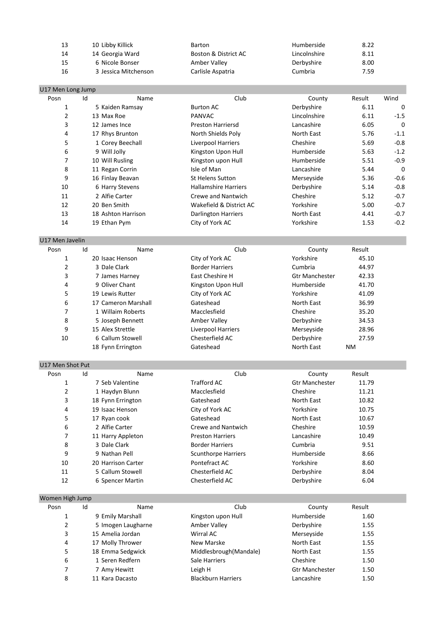| 13 | 10 Libby Killick     | Barton               | Humberside   | 8.22 |
|----|----------------------|----------------------|--------------|------|
| 14 | 14 Georgia Ward      | Boston & District AC | Lincolnshire | 8.11 |
| 15 | 6 Nicole Bonser      | Amber Valley         | Derbyshire   | 8.00 |
| 16 | 3 Jessica Mitchenson | Carlisle Aspatria    | Cumbria      | 7.59 |

| U17 Men Long Jump |    |                     |                             |                       |        |             |
|-------------------|----|---------------------|-----------------------------|-----------------------|--------|-------------|
| Posn              | Id | Name                | Club                        | County                | Result | Wind        |
| 1                 |    | 5 Kaiden Ramsay     | <b>Burton AC</b>            | Derbyshire            | 6.11   | 0           |
| $\overline{2}$    |    | 13 Max Roe          | <b>PANVAC</b>               | Lincolnshire          | 6.11   | $-1.5$      |
| 3                 |    | 12 James Ince       | <b>Preston Harriersd</b>    | Lancashire            | 6.05   | $\Omega$    |
| 4                 |    | 17 Rhys Brunton     | North Shields Poly          | North East            | 5.76   | $-1.1$      |
| 5                 |    | 1 Corey Beechall    | <b>Liverpool Harriers</b>   | Cheshire              | 5.69   | $-0.8$      |
| 6                 |    | 9 Will Jolly        | Kingston Upon Hull          | Humberside            | 5.63   | $-1.2$      |
| 7                 |    | 10 Will Rusling     | Kingston upon Hull          | Humberside            | 5.51   | $-0.9$      |
| 8                 |    | 11 Regan Corrin     | Isle of Man                 | Lancashire            | 5.44   | $\mathbf 0$ |
| 9                 |    | 16 Finlay Beavan    | <b>St Helens Sutton</b>     | Merseyside            | 5.36   | $-0.6$      |
| 10                |    | 6 Harry Stevens     | <b>Hallamshire Harriers</b> | Derbyshire            | 5.14   | $-0.8$      |
| 11                |    | 2 Alfie Carter      | <b>Crewe and Nantwich</b>   | Cheshire              | 5.12   | $-0.7$      |
| 12                |    | 20 Ben Smith        | Wakefield & District AC     | Yorkshire             | 5.00   | $-0.7$      |
| 13                |    | 18 Ashton Harrison  | <b>Darlington Harriers</b>  | North East            | 4.41   | $-0.7$      |
| 14                |    | 19 Ethan Pym        | City of York AC             | Yorkshire             | 1.53   | $-0.2$      |
| U17 Men Javelin   |    |                     |                             |                       |        |             |
| Posn              | Id | Name                | Club                        | County                | Result |             |
| 1                 |    | 20 Isaac Henson     | City of York AC             | Yorkshire             | 45.10  |             |
| 2                 |    | 3 Dale Clark        | <b>Border Harriers</b>      | Cumbria               | 44.97  |             |
| 3                 |    | 7 James Harney      | East Cheshire H             | <b>Gtr Manchester</b> | 42.33  |             |
| 4                 |    | 9 Oliver Chant      | Kingston Upon Hull          | Humberside            | 41.70  |             |
| 5                 |    | 19 Lewis Rutter     | City of York AC             | Yorkshire             | 41.09  |             |
| 6                 |    | 17 Cameron Marshall | Gateshead                   | North East            | 36.99  |             |
| 7                 |    | 1 Willaim Roberts   | Macclesfield                | Cheshire              | 35.20  |             |
| 8                 |    | 5 Joseph Bennett    | Amber Valley                | Derbyshire            | 34.53  |             |
| 9                 |    | 15 Alex Strettle    | Liverpool Harriers          | Merseyside            | 28.96  |             |
|                   |    |                     | .                           |                       |        |             |

10 6 Callum Stowell **Chesterfield AC Chesterfield AC Derbyshire** 27.59 18 Fynn Errington Gateshead Cass Controller North East NM U17 Men Shot Put

| Posn | Id | Name               | Club                       | County                | Result |  |
|------|----|--------------------|----------------------------|-----------------------|--------|--|
|      |    | 7 Seb Valentine    | Trafford AC                | <b>Gtr Manchester</b> | 11.79  |  |
| 2    |    | 1 Haydyn Blunn     | Macclesfield               | Cheshire              | 11.21  |  |
| 3    |    | 18 Fynn Errington  | Gateshead                  | North East            | 10.82  |  |
| 4    |    | 19 Isaac Henson    | City of York AC            | Yorkshire             | 10.75  |  |
| 5    |    | 17 Ryan cook       | Gateshead                  | North East            | 10.67  |  |
| 6    |    | 2 Alfie Carter     | Crewe and Nantwich         | Cheshire              | 10.59  |  |
| 7    |    | 11 Harry Appleton  | <b>Preston Harriers</b>    | Lancashire            | 10.49  |  |
| 8    |    | 3 Dale Clark       | <b>Border Harriers</b>     | Cumbria               | 9.51   |  |
| 9    |    | 9 Nathan Pell      | <b>Scunthorpe Harriers</b> | Humberside            | 8.66   |  |
| 10   |    | 20 Harrison Carter | Pontefract AC              | Yorkshire             | 8.60   |  |
| 11   |    | 5 Callum Stowell   | Chesterfield AC            | Derbyshire            | 8.04   |  |
| 12   |    | 6 Spencer Martin   | Chesterfield AC            | Derbyshire            | 6.04   |  |

| Women High Jump |                    |                           |                       |        |  |  |  |  |
|-----------------|--------------------|---------------------------|-----------------------|--------|--|--|--|--|
| Posn            | Id<br>Name         | Club                      | County                | Result |  |  |  |  |
|                 | 9 Emily Marshall   | Kingston upon Hull        | Humberside            | 1.60   |  |  |  |  |
| 2               | 5 Imogen Laugharne | Amber Valley              | Derbyshire            | 1.55   |  |  |  |  |
| 3               | 15 Amelia Jordan   | Wirral AC                 | Merseyside            | 1.55   |  |  |  |  |
| 4               | 17 Molly Thrower   | New Marske                | North East            | 1.55   |  |  |  |  |
| 5               | 18 Emma Sedgwick   | Middlesbrough(Mandale)    | North East            | 1.55   |  |  |  |  |
| 6               | 1 Seren Redfern    | Sale Harriers             | Cheshire              | 1.50   |  |  |  |  |
| 7               | 7 Amy Hewitt       | Leigh H                   | <b>Gtr Manchester</b> | 1.50   |  |  |  |  |
| 8               | 11 Kara Dacasto    | <b>Blackburn Harriers</b> | Lancashire            | 1.50   |  |  |  |  |